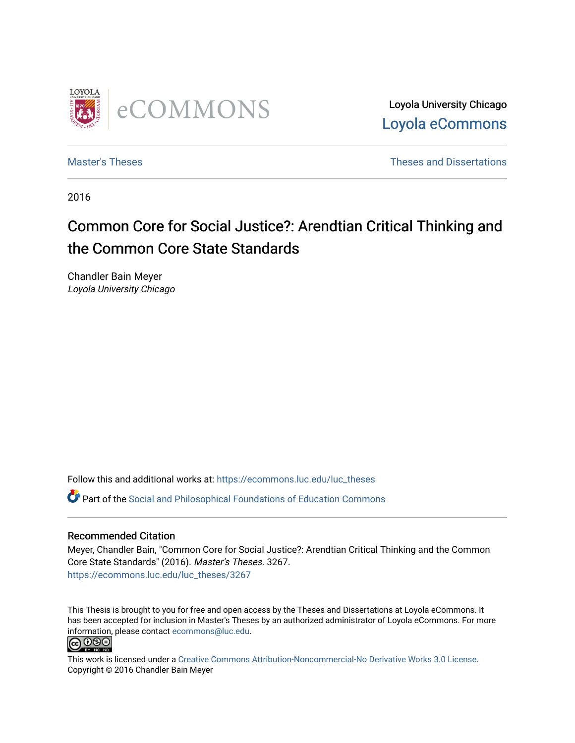

Loyola University Chicago [Loyola eCommons](https://ecommons.luc.edu/) 

[Master's Theses](https://ecommons.luc.edu/luc_theses) **Theses Theses** and Dissertations **Theses** and Dissertations

2016

# Common Core for Social Justice?: Arendtian Critical Thinking and the Common Core State Standards

Chandler Bain Meyer Loyola University Chicago

Follow this and additional works at: [https://ecommons.luc.edu/luc\\_theses](https://ecommons.luc.edu/luc_theses?utm_source=ecommons.luc.edu%2Fluc_theses%2F3267&utm_medium=PDF&utm_campaign=PDFCoverPages) 

Part of the [Social and Philosophical Foundations of Education Commons](http://network.bepress.com/hgg/discipline/799?utm_source=ecommons.luc.edu%2Fluc_theses%2F3267&utm_medium=PDF&utm_campaign=PDFCoverPages) 

### Recommended Citation

Meyer, Chandler Bain, "Common Core for Social Justice?: Arendtian Critical Thinking and the Common Core State Standards" (2016). Master's Theses. 3267. [https://ecommons.luc.edu/luc\\_theses/3267](https://ecommons.luc.edu/luc_theses/3267?utm_source=ecommons.luc.edu%2Fluc_theses%2F3267&utm_medium=PDF&utm_campaign=PDFCoverPages)

This Thesis is brought to you for free and open access by the Theses and Dissertations at Loyola eCommons. It has been accepted for inclusion in Master's Theses by an authorized administrator of Loyola eCommons. For more information, please contact [ecommons@luc.edu.](mailto:ecommons@luc.edu)<br> **@ 099** 



This work is licensed under a [Creative Commons Attribution-Noncommercial-No Derivative Works 3.0 License.](https://creativecommons.org/licenses/by-nc-nd/3.0/) Copyright © 2016 Chandler Bain Meyer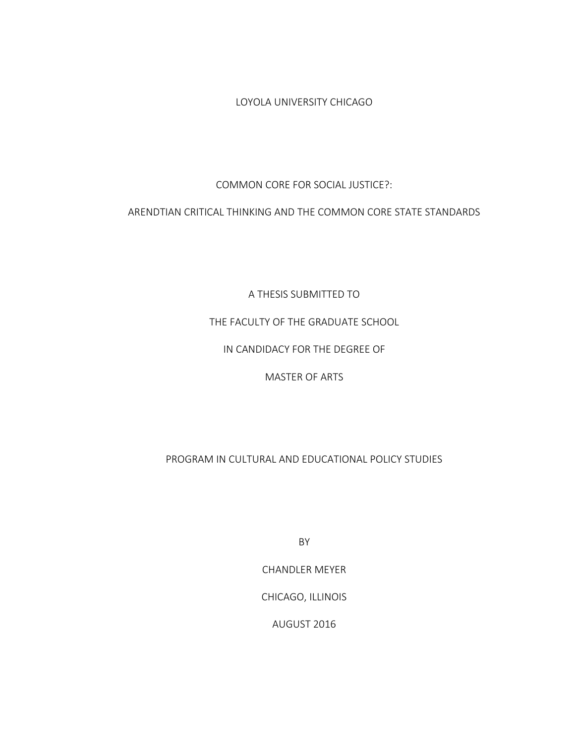LOYOLA UNIVERSITY CHICAGO

COMMON CORE FOR SOCIAL JUSTICE?:

ARENDTIAN CRITICAL THINKING AND THE COMMON CORE STATE STANDARDS

A THESIS SUBMITTED TO

THE FACULTY OF THE GRADUATE SCHOOL

IN CANDIDACY FOR THE DEGREE OF

MASTER OF ARTS

PROGRAM IN CULTURAL AND EDUCATIONAL POLICY STUDIES

BY

CHANDLER MEYER

CHICAGO, ILLINOIS

AUGUST 2016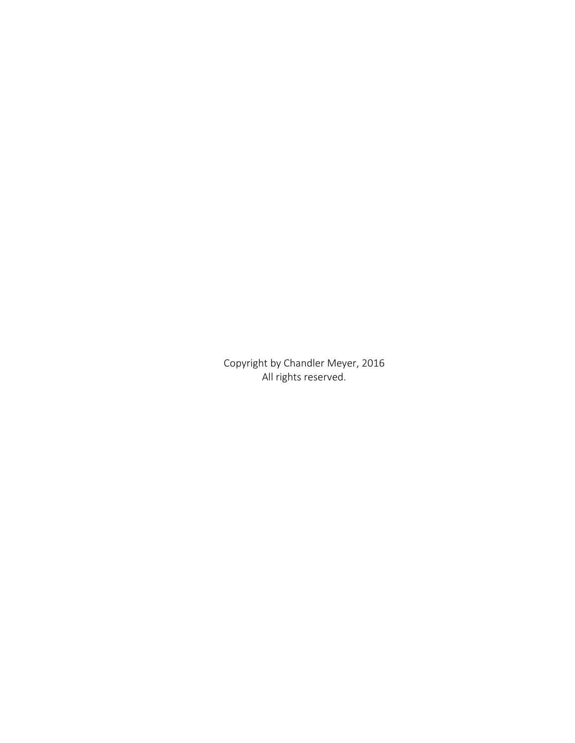Copyright by Chandler Meyer, 2016 All rights reserved.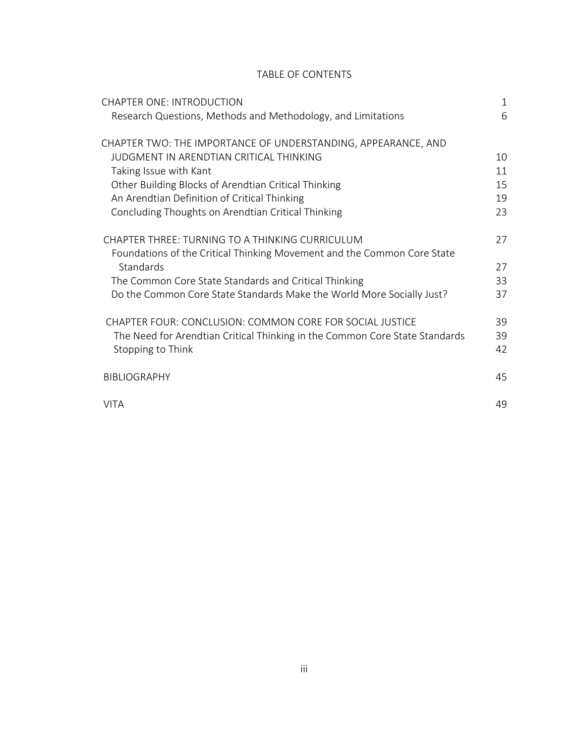# TABLE OF CONTENTS

| <b>CHAPTER ONE: INTRODUCTION</b>                                            | $\mathbf{1}$ |
|-----------------------------------------------------------------------------|--------------|
| Research Questions, Methods and Methodology, and Limitations                | 6            |
| CHAPTER TWO: THE IMPORTANCE OF UNDERSTANDING, APPEARANCE, AND               |              |
| JUDGMENT IN ARENDTIAN CRITICAL THINKING                                     | 10           |
| Taking Issue with Kant                                                      | 11           |
| Other Building Blocks of Arendtian Critical Thinking                        | 15           |
| An Arendtian Definition of Critical Thinking                                | 19           |
| Concluding Thoughts on Arendtian Critical Thinking                          | 23           |
| CHAPTER THREE: TURNING TO A THINKING CURRICULUM                             | 27           |
| Foundations of the Critical Thinking Movement and the Common Core State     |              |
| Standards                                                                   | 27           |
| The Common Core State Standards and Critical Thinking                       | 33           |
| Do the Common Core State Standards Make the World More Socially Just?       | 37           |
| CHAPTER FOUR: CONCLUSION: COMMON CORE FOR SOCIAL JUSTICE                    | 39           |
| The Need for Arendtian Critical Thinking in the Common Core State Standards | 39           |
| Stopping to Think                                                           | 42           |
| <b>BIBLIOGRAPHY</b>                                                         | 45           |
|                                                                             |              |
| <b>VITA</b>                                                                 | 49           |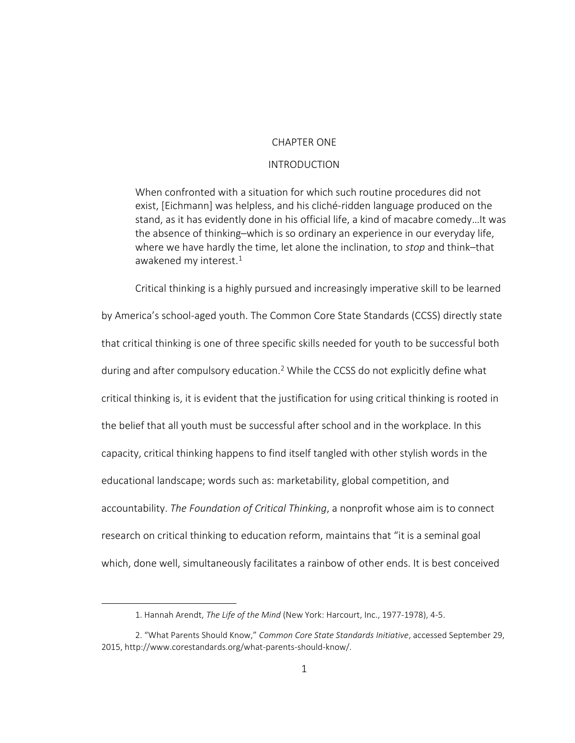#### CHAPTER ONE

# INTRODUCTION

When confronted with a situation for which such routine procedures did not exist, [Eichmann] was helpless, and his cliché-ridden language produced on the stand, as it has evidently done in his official life, a kind of macabre comedy…It was the absence of thinking–which is so ordinary an experience in our everyday life, where we have hardly the time, let alone the inclination, to *stop* and think–that awakened my interest.<sup>1</sup>

Critical thinking is a highly pursued and increasingly imperative skill to be learned by America's school-aged youth. The Common Core State Standards (CCSS) directly state that critical thinking is one of three specific skills needed for youth to be successful both during and after compulsory education.<sup>2</sup> While the CCSS do not explicitly define what critical thinking is, it is evident that the justification for using critical thinking is rooted in the belief that all youth must be successful after school and in the workplace. In this capacity, critical thinking happens to find itself tangled with other stylish words in the educational landscape; words such as: marketability, global competition, and accountability. *The Foundation of Critical Thinking*, a nonprofit whose aim is to connect research on critical thinking to education reform, maintains that "it is a seminal goal which, done well, simultaneously facilitates a rainbow of other ends. It is best conceived

 $\overline{a}$ 

<sup>1.</sup> Hannah Arendt, *The Life of the Mind* (New York: Harcourt, Inc., 1977-1978), 4-5.

<sup>2</sup>. "What Parents Should Know," *Common Core State Standards Initiative*, accessed September 29, 2015, http://www.corestandards.org/what-parents-should-know/.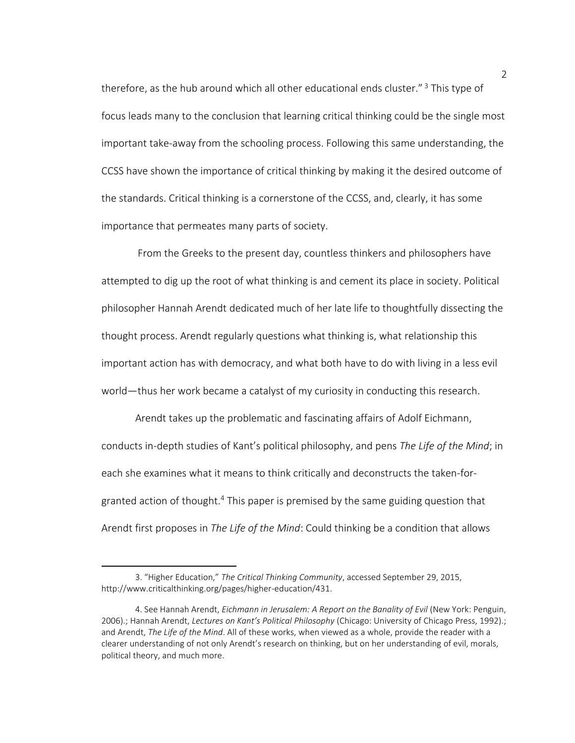therefore, as the hub around which all other educational ends cluster."<sup>3</sup> This type of focus leads many to the conclusion that learning critical thinking could be the single most important take-away from the schooling process. Following this same understanding, the CCSS have shown the importance of critical thinking by making it the desired outcome of the standards. Critical thinking is a cornerstone of the CCSS, and, clearly, it has some importance that permeates many parts of society.

From the Greeks to the present day, countless thinkers and philosophers have attempted to dig up the root of what thinking is and cement its place in society. Political philosopher Hannah Arendt dedicated much of her late life to thoughtfully dissecting the thought process. Arendt regularly questions what thinking is, what relationship this important action has with democracy, and what both have to do with living in a less evil world—thus her work became a catalyst of my curiosity in conducting this research.

Arendt takes up the problematic and fascinating affairs of Adolf Eichmann, conducts in-depth studies of Kant's political philosophy, and pens *The Life of the Mind*; in each she examines what it means to think critically and deconstructs the taken-forgranted action of thought.<sup>4</sup> This paper is premised by the same guiding question that Arendt first proposes in *The Life of the Mind*: Could thinking be a condition that allows

<sup>3</sup>. "Higher Education," *The Critical Thinking Community*, accessed September 29, 2015, http://www.criticalthinking.org/pages/higher-education/431.

<sup>4.</sup> See Hannah Arendt, *Eichmann in Jerusalem: A Report on the Banality of Evil* (New York: Penguin, 2006).; Hannah Arendt, *Lectures on Kant's Political Philosophy* (Chicago: University of Chicago Press, 1992).; and Arendt, *The Life of the Mind*. All of these works, when viewed as a whole, provide the reader with a clearer understanding of not only Arendt's research on thinking, but on her understanding of evil, morals, political theory, and much more.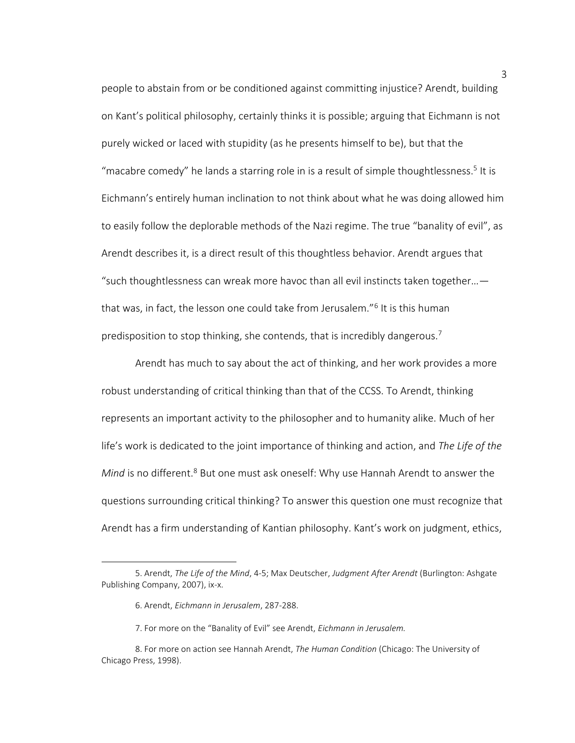people to abstain from or be conditioned against committing injustice? Arendt, building on Kant's political philosophy, certainly thinks it is possible; arguing that Eichmann is not purely wicked or laced with stupidity (as he presents himself to be), but that the "macabre comedy" he lands a starring role in is a result of simple thoughtlessness.<sup>5</sup> It is Eichmann's entirely human inclination to not think about what he was doing allowed him to easily follow the deplorable methods of the Nazi regime. The true "banality of evil", as Arendt describes it, is a direct result of this thoughtless behavior. Arendt argues that "such thoughtlessness can wreak more havoc than all evil instincts taken together... $$ that was, in fact, the lesson one could take from Jerusalem."<sup>6</sup> It is this human predisposition to stop thinking, she contends, that is incredibly dangerous.<sup>7</sup>

Arendt has much to say about the act of thinking, and her work provides a more robust understanding of critical thinking than that of the CCSS. To Arendt, thinking represents an important activity to the philosopher and to humanity alike. Much of her life's work is dedicated to the joint importance of thinking and action, and *The Life of the Mind* is no different.<sup>8</sup> But one must ask oneself: Why use Hannah Arendt to answer the questions surrounding critical thinking? To answer this question one must recognize that Arendt has a firm understanding of Kantian philosophy. Kant's work on judgment, ethics,

<sup>5.</sup> Arendt, *The Life of the Mind*, 4-5; Max Deutscher, *Judgment After Arendt* (Burlington: Ashgate Publishing Company, 2007), ix-x.

<sup>6.</sup> Arendt, *Eichmann in Jerusalem*, 287-288.

<sup>7</sup>. For more on the "Banality of Evil" see Arendt, *Eichmann in Jerusalem.*

<sup>8.</sup> For more on action see Hannah Arendt, *The Human Condition* (Chicago: The University of Chicago Press, 1998).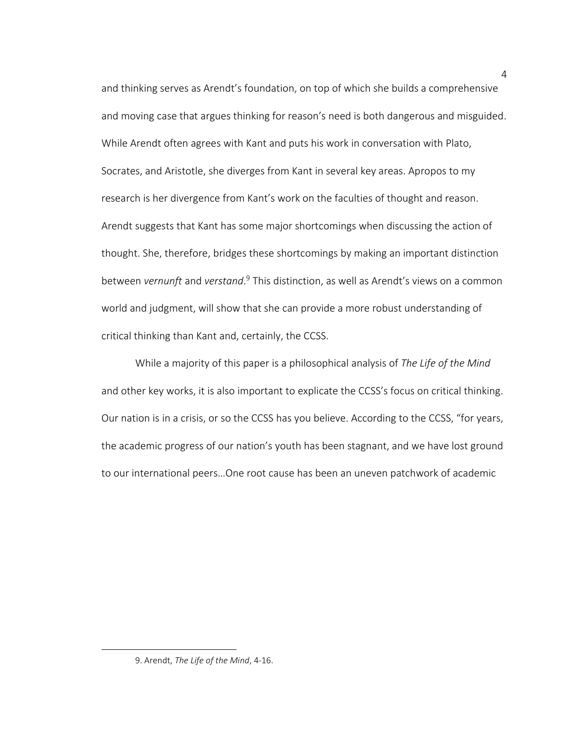and thinking serves as Arendt's foundation, on top of which she builds a comprehensive and moving case that argues thinking for reason's need is both dangerous and misguided. While Arendt often agrees with Kant and puts his work in conversation with Plato, Socrates, and Aristotle, she diverges from Kant in several key areas. Apropos to my research is her divergence from Kant's work on the faculties of thought and reason. Arendt suggests that Kant has some major shortcomings when discussing the action of thought. She, therefore, bridges these shortcomings by making an important distinction between *vernunft* and *verstand*. <sup>9</sup> This distinction, as well as Arendt's views on a common world and judgment, will show that she can provide a more robust understanding of critical thinking than Kant and, certainly, the CCSS.

While a majority of this paper is a philosophical analysis of *The Life of the Mind* and other key works, it is also important to explicate the CCSS's focus on critical thinking. Our nation is in a crisis, or so the CCSS has you believe. According to the CCSS, "for years, the academic progress of our nation's youth has been stagnant, and we have lost ground to our international peers…One root cause has been an uneven patchwork of academic

 $\overline{a}$ 

<sup>9.</sup> Arendt, *The Life of the Mind*, 4-16.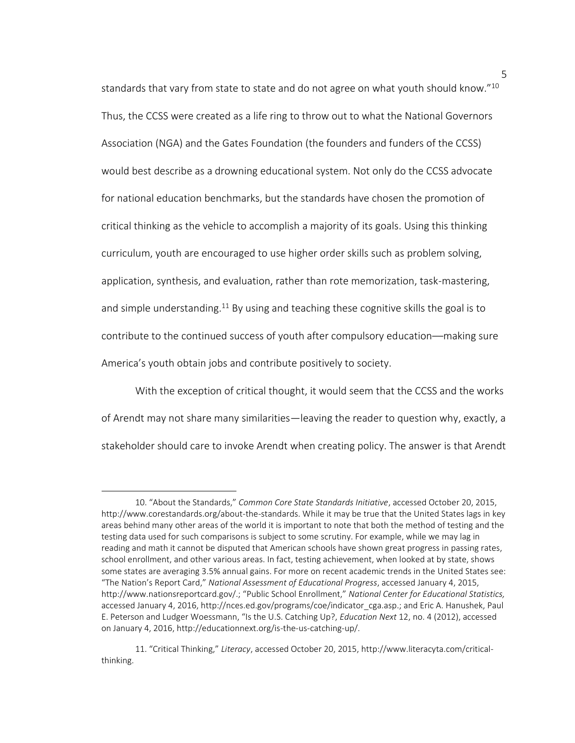standards that vary from state to state and do not agree on what youth should know."<sup>10</sup> Thus, the CCSS were created as a life ring to throw out to what the National Governors Association (NGA) and the Gates Foundation (the founders and funders of the CCSS) would best describe as a drowning educational system. Not only do the CCSS advocate for national education benchmarks, but the standards have chosen the promotion of critical thinking as the vehicle to accomplish a majority of its goals. Using this thinking curriculum, youth are encouraged to use higher order skills such as problem solving, application, synthesis, and evaluation, rather than rote memorization, task-mastering, and simple understanding.<sup>11</sup> By using and teaching these cognitive skills the goal is to contribute to the continued success of youth after compulsory education––making sure America's youth obtain jobs and contribute positively to society.

With the exception of critical thought, it would seem that the CCSS and the works of Arendt may not share many similarities—leaving the reader to question why, exactly, a stakeholder should care to invoke Arendt when creating policy. The answer is that Arendt

 $\overline{a}$ 

<sup>10</sup>. "About the Standards," *Common Core State Standards Initiative*, accessed October 20, 2015, http://www.corestandards.org/about-the-standards. While it may be true that the United States lags in key areas behind many other areas of the world it is important to note that both the method of testing and the testing data used for such comparisons is subject to some scrutiny. For example, while we may lag in reading and math it cannot be disputed that American schools have shown great progress in passing rates, school enrollment, and other various areas. In fact, testing achievement, when looked at by state, shows some states are averaging 3.5% annual gains. For more on recent academic trends in the United States see: "The Nation's Report Card," *National Assessment of Educational Progress*, accessed January 4, 2015, http://www.nationsreportcard.gov/.; "Public School Enrollment," *National Center for Educational Statistics,* accessed January 4, 2016, http://nces.ed.gov/programs/coe/indicator\_cga.asp.; and Eric A. Hanushek, Paul E. Peterson and Ludger Woessmann, "Is the U.S. Catching Up?, *Education Next* 12, no. 4 (2012), accessed on January 4, 2016, http://educationnext.org/is-the-us-catching-up/.

<sup>11</sup>. "Critical Thinking," *Literacy*, accessed October 20, 2015, http://www.literacyta.com/criticalthinking.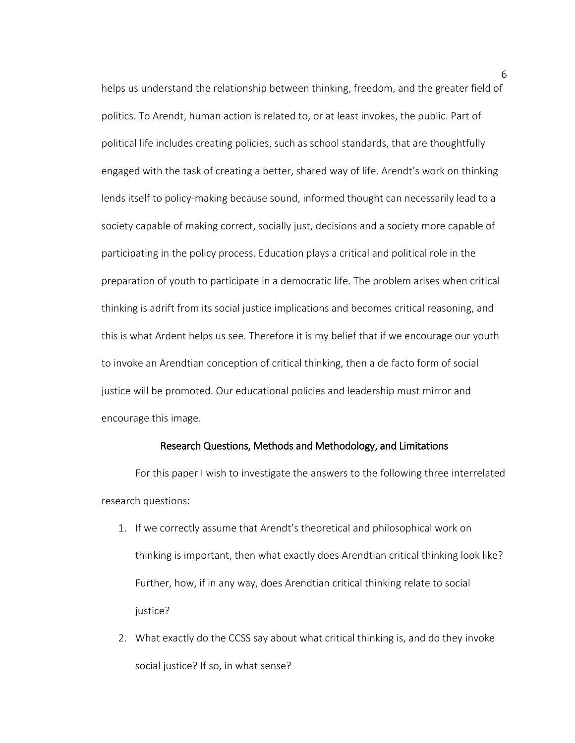helps us understand the relationship between thinking, freedom, and the greater field of politics. To Arendt, human action is related to, or at least invokes, the public. Part of political life includes creating policies, such as school standards, that are thoughtfully engaged with the task of creating a better, shared way of life. Arendt's work on thinking lends itself to policy-making because sound, informed thought can necessarily lead to a society capable of making correct, socially just, decisions and a society more capable of participating in the policy process. Education plays a critical and political role in the preparation of youth to participate in a democratic life. The problem arises when critical thinking is adrift from its social justice implications and becomes critical reasoning, and this is what Ardent helps us see. Therefore it is my belief that if we encourage our youth to invoke an Arendtian conception of critical thinking, then a de facto form of social justice will be promoted. Our educational policies and leadership must mirror and encourage this image.

### Research Questions, Methods and Methodology, and Limitations

For this paper I wish to investigate the answers to the following three interrelated research questions:

- 1. If we correctly assume that Arendt's theoretical and philosophical work on thinking is important, then what exactly does Arendtian critical thinking look like? Further, how, if in any way, does Arendtian critical thinking relate to social justice?
- 2. What exactly do the CCSS say about what critical thinking is, and do they invoke social justice? If so, in what sense?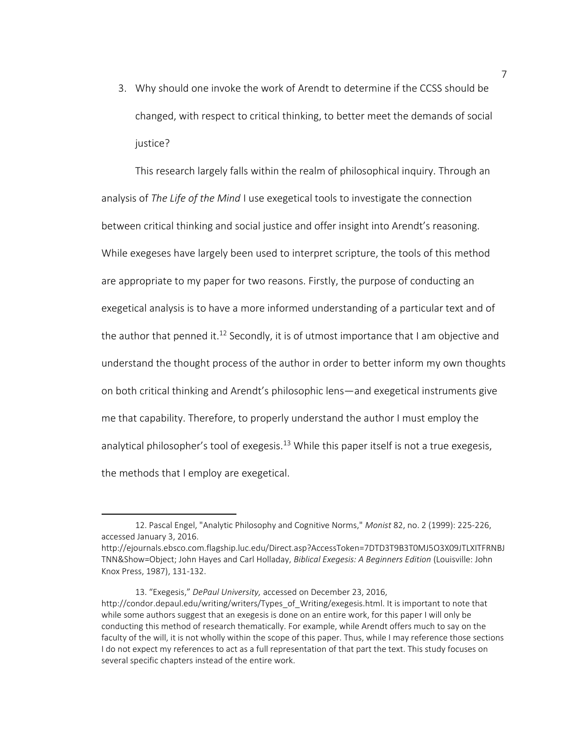3. Why should one invoke the work of Arendt to determine if the CCSS should be changed, with respect to critical thinking, to better meet the demands of social justice?

This research largely falls within the realm of philosophical inquiry. Through an analysis of *The Life of the Mind* I use exegetical tools to investigate the connection between critical thinking and social justice and offer insight into Arendt's reasoning. While exegeses have largely been used to interpret scripture, the tools of this method are appropriate to my paper for two reasons. Firstly, the purpose of conducting an exegetical analysis is to have a more informed understanding of a particular text and of the author that penned it.<sup>12</sup> Secondly, it is of utmost importance that I am objective and understand the thought process of the author in order to better inform my own thoughts on both critical thinking and Arendt's philosophic lens—and exegetical instruments give me that capability. Therefore, to properly understand the author I must employ the analytical philosopher's tool of exegesis.<sup>13</sup> While this paper itself is not a true exegesis, the methods that I employ are exegetical.

l

<sup>12.</sup> Pascal Engel, "Analytic Philosophy and Cognitive Norms," *Monist* 82, no. 2 (1999): 225-226, accessed January 3, 2016.

http://ejournals.ebsco.com.flagship.luc.edu/Direct.asp?AccessToken=7DTD3T9B3T0MJ5O3X09JTLXITFRNBJ TNN&Show=Object; John Hayes and Carl Holladay, *Biblical Exegesis: A Beginners Edition* (Louisville: John Knox Press, 1987), 131-132.

<sup>13</sup>. "Exegesis," *DePaul University,* accessed on December 23, 2016, http://condor.depaul.edu/writing/writers/Types\_of\_Writing/exegesis.html. It is important to note that while some authors suggest that an exegesis is done on an entire work, for this paper I will only be conducting this method of research thematically. For example, while Arendt offers much to say on the faculty of the will, it is not wholly within the scope of this paper. Thus, while I may reference those sections I do not expect my references to act as a full representation of that part the text. This study focuses on several specific chapters instead of the entire work.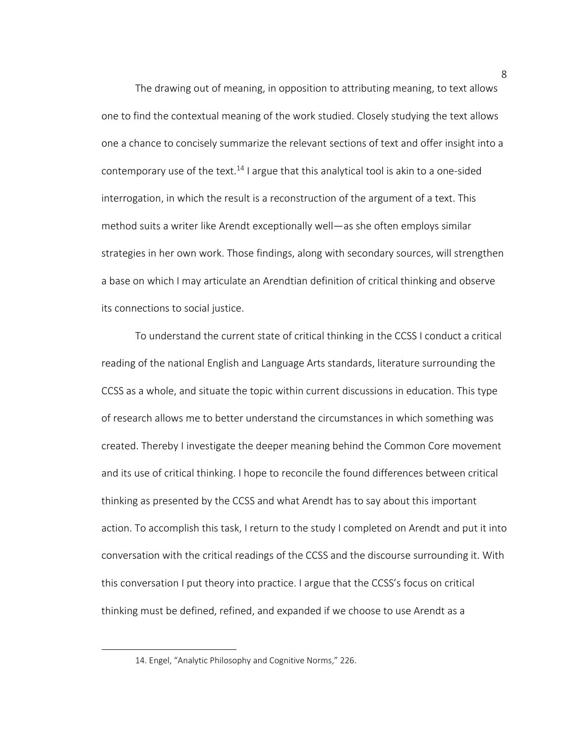The drawing out of meaning, in opposition to attributing meaning, to text allows one to find the contextual meaning of the work studied. Closely studying the text allows one a chance to concisely summarize the relevant sections of text and offer insight into a contemporary use of the text.<sup>14</sup> I argue that this analytical tool is akin to a one-sided interrogation, in which the result is a reconstruction of the argument of a text. This method suits a writer like Arendt exceptionally well—as she often employs similar strategies in her own work. Those findings, along with secondary sources, will strengthen a base on which I may articulate an Arendtian definition of critical thinking and observe its connections to social justice.

To understand the current state of critical thinking in the CCSS I conduct a critical reading of the national English and Language Arts standards, literature surrounding the CCSS as a whole, and situate the topic within current discussions in education. This type of research allows me to better understand the circumstances in which something was created. Thereby I investigate the deeper meaning behind the Common Core movement and its use of critical thinking. I hope to reconcile the found differences between critical thinking as presented by the CCSS and what Arendt has to say about this important action. To accomplish this task, I return to the study I completed on Arendt and put it into conversation with the critical readings of the CCSS and the discourse surrounding it. With this conversation I put theory into practice. I argue that the CCSS's focus on critical thinking must be defined, refined, and expanded if we choose to use Arendt as a

 $\overline{a}$ 

<sup>14</sup>. Engel, "Analytic Philosophy and Cognitive Norms," 226.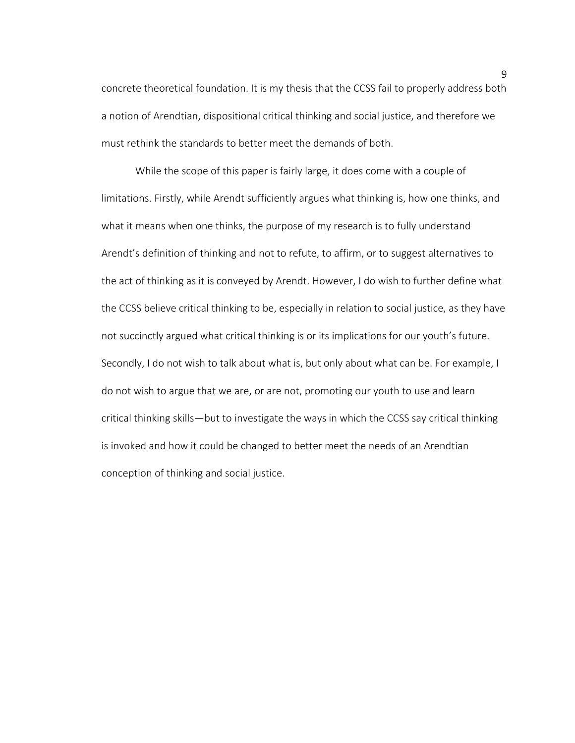concrete theoretical foundation. It is my thesis that the CCSS fail to properly address both a notion of Arendtian, dispositional critical thinking and social justice, and therefore we must rethink the standards to better meet the demands of both.

While the scope of this paper is fairly large, it does come with a couple of limitations. Firstly, while Arendt sufficiently argues what thinking is, how one thinks, and what it means when one thinks, the purpose of my research is to fully understand Arendt's definition of thinking and not to refute, to affirm, or to suggest alternatives to the act of thinking as it is conveyed by Arendt. However, I do wish to further define what the CCSS believe critical thinking to be, especially in relation to social justice, as they have not succinctly argued what critical thinking is or its implications for our youth's future. Secondly, I do not wish to talk about what is, but only about what can be. For example, I do not wish to argue that we are, or are not, promoting our youth to use and learn critical thinking skills—but to investigate the ways in which the CCSS say critical thinking is invoked and how it could be changed to better meet the needs of an Arendtian conception of thinking and social justice.

9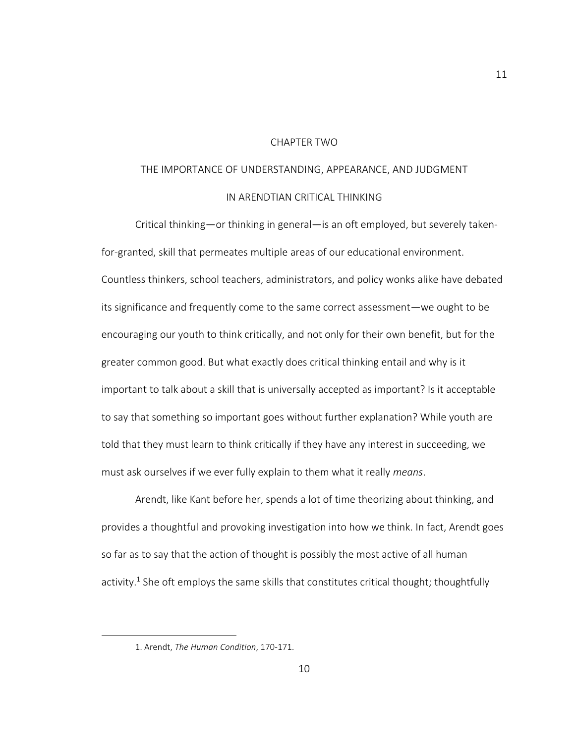### CHAPTER TWO

# THE IMPORTANCE OF UNDERSTANDING, APPEARANCE, AND JUDGMENT IN ARENDTIAN CRITICAL THINKING

Critical thinking—or thinking in general—is an oft employed, but severely takenfor-granted, skill that permeates multiple areas of our educational environment. Countless thinkers, school teachers, administrators, and policy wonks alike have debated its significance and frequently come to the same correct assessment—we ought to be encouraging our youth to think critically, and not only for their own benefit, but for the greater common good. But what exactly does critical thinking entail and why is it important to talk about a skill that is universally accepted as important? Is it acceptable to say that something so important goes without further explanation? While youth are told that they must learn to think critically if they have any interest in succeeding, we must ask ourselves if we ever fully explain to them what it really *means*.

Arendt, like Kant before her, spends a lot of time theorizing about thinking, and provides a thoughtful and provoking investigation into how we think. In fact, Arendt goes so far as to say that the action of thought is possibly the most active of all human activity.<sup>1</sup> She oft employs the same skills that constitutes critical thought; thoughtfully

 $\overline{a}$ 

<sup>1.</sup> Arendt, *The Human Condition*, 170-171.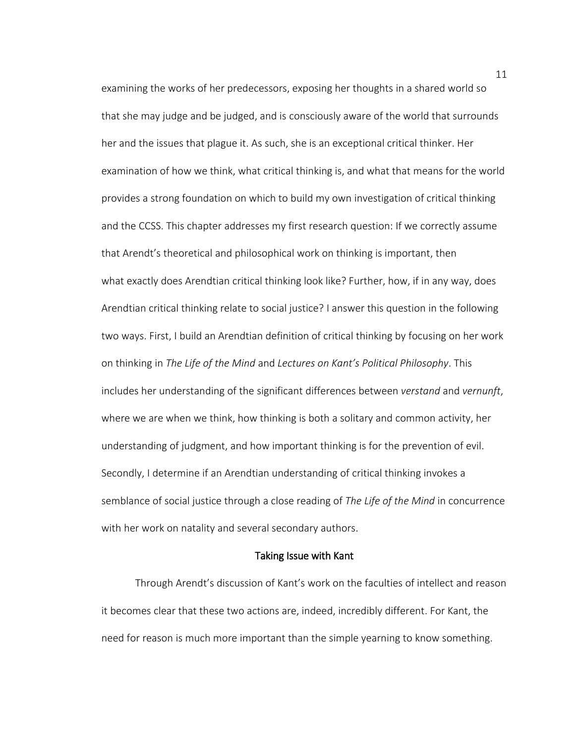examining the works of her predecessors, exposing her thoughts in a shared world so that she may judge and be judged, and is consciously aware of the world that surrounds her and the issues that plague it. As such, she is an exceptional critical thinker. Her examination of how we think, what critical thinking is, and what that means for the world provides a strong foundation on which to build my own investigation of critical thinking and the CCSS. This chapter addresses my first research question: If we correctly assume that Arendt's theoretical and philosophical work on thinking is important, then what exactly does Arendtian critical thinking look like? Further, how, if in any way, does Arendtian critical thinking relate to social justice? I answer this question in the following two ways. First, I build an Arendtian definition of critical thinking by focusing on her work on thinking in *The Life of the Mind* and *Lectures on Kant's Political Philosophy*. This includes her understanding of the significant differences between *verstand* and *vernunft*, where we are when we think, how thinking is both a solitary and common activity, her understanding of judgment, and how important thinking is for the prevention of evil. Secondly, I determine if an Arendtian understanding of critical thinking invokes a semblance of social justice through a close reading of *The Life of the Mind* in concurrence with her work on natality and several secondary authors.

#### Taking Issue with Kant

Through Arendt's discussion of Kant's work on the faculties of intellect and reason it becomes clear that these two actions are, indeed, incredibly different. For Kant, the need for reason is much more important than the simple yearning to know something.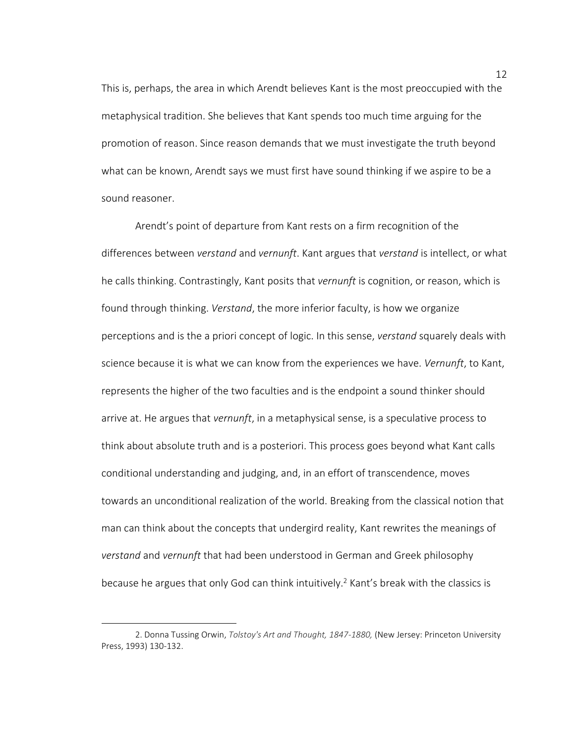This is, perhaps, the area in which Arendt believes Kant is the most preoccupied with the metaphysical tradition. She believes that Kant spends too much time arguing for the promotion of reason. Since reason demands that we must investigate the truth beyond what can be known, Arendt says we must first have sound thinking if we aspire to be a sound reasoner.

Arendt's point of departure from Kant rests on a firm recognition of the differences between *verstand* and *vernunft*. Kant argues that *verstand* is intellect, or what he calls thinking. Contrastingly, Kant posits that *vernunft* is cognition, or reason, which is found through thinking. *Verstand*, the more inferior faculty, is how we organize perceptions and is the a priori concept of logic. In this sense, *verstand* squarely deals with science because it is what we can know from the experiences we have. *Vernunft*, to Kant, represents the higher of the two faculties and is the endpoint a sound thinker should arrive at. He argues that *vernunft*, in a metaphysical sense, is a speculative process to think about absolute truth and is a posteriori. This process goes beyond what Kant calls conditional understanding and judging, and, in an effort of transcendence, moves towards an unconditional realization of the world. Breaking from the classical notion that man can think about the concepts that undergird reality, Kant rewrites the meanings of *verstand* and *vernunft* that had been understood in German and Greek philosophy because he argues that only God can think intuitively.<sup>2</sup> Kant's break with the classics is

<sup>2.</sup> Donna Tussing Orwin, *Tolstoy's Art and Thought, 1847-1880,* (New Jersey: Princeton University Press, 1993) 130-132.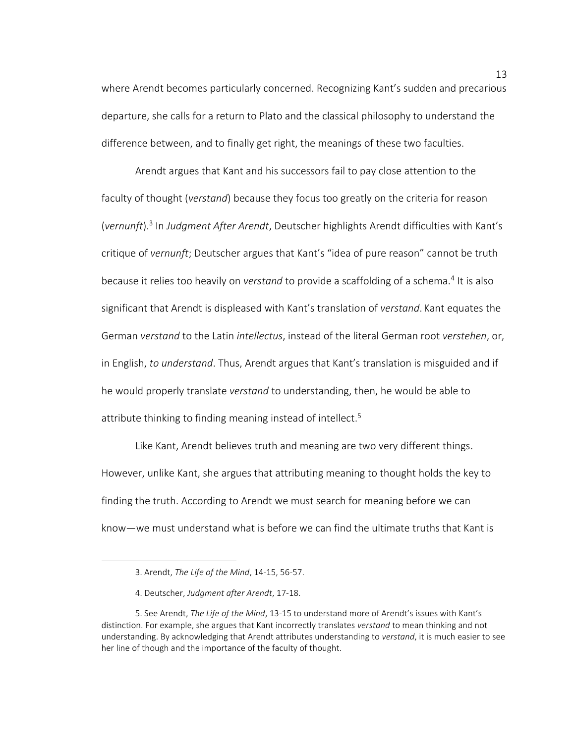where Arendt becomes particularly concerned. Recognizing Kant's sudden and precarious departure, she calls for a return to Plato and the classical philosophy to understand the difference between, and to finally get right, the meanings of these two faculties.

Arendt argues that Kant and his successors fail to pay close attention to the faculty of thought (*verstand*) because they focus too greatly on the criteria for reason (*vernunft*). 3 In *Judgment After Arendt*, Deutscher highlights Arendt difficulties with Kant's critique of *vernunft*; Deutscher argues that Kant's "idea of pure reason" cannot be truth because it relies too heavily on *verstand* to provide a scaffolding of a schema.<sup>4</sup> It is also significant that Arendt is displeased with Kant's translation of *verstand*. Kant equates the German *verstand* to the Latin *intellectus*, instead of the literal German root *verstehen*, or, in English, *to understand*. Thus, Arendt argues that Kant's translation is misguided and if he would properly translate *verstand* to understanding, then, he would be able to attribute thinking to finding meaning instead of intellect. 5

Like Kant, Arendt believes truth and meaning are two very different things. However, unlike Kant, she argues that attributing meaning to thought holds the key to finding the truth. According to Arendt we must search for meaning before we can know—we must understand what is before we can find the ultimate truths that Kant is

 $\overline{a}$ 

<sup>3.</sup> Arendt, *The Life of the Mind*, 14-15, 56-57.

<sup>4.</sup> Deutscher, *Judgment after Arendt*, 17-18.

<sup>5.</sup> See Arendt, *The Life of the Mind*, 13-15 to understand more of Arendt's issues with Kant's distinction. For example, she argues that Kant incorrectly translates *verstand* to mean thinking and not understanding. By acknowledging that Arendt attributes understanding to *verstand*, it is much easier to see her line of though and the importance of the faculty of thought.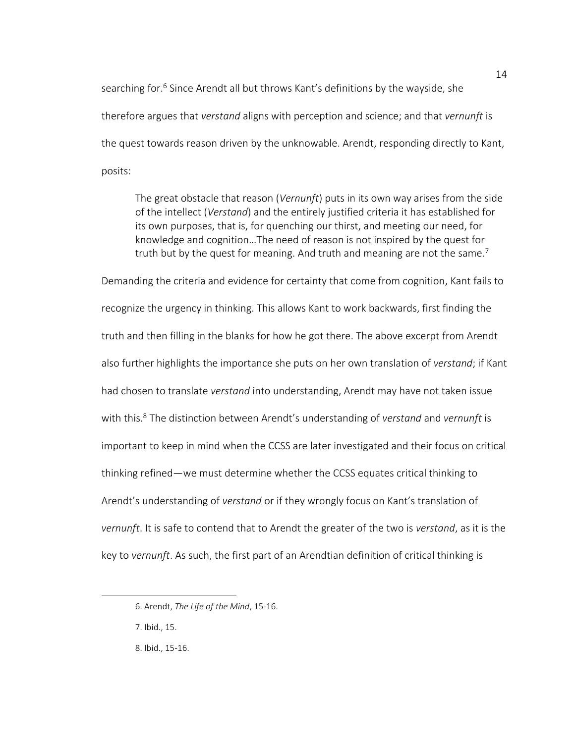searching for.<sup>6</sup> Since Arendt all but throws Kant's definitions by the wayside, she therefore argues that *verstand* aligns with perception and science; and that *vernunft* is the quest towards reason driven by the unknowable. Arendt, responding directly to Kant, posits:

The great obstacle that reason (*Vernunft*) puts in its own way arises from the side of the intellect (*Verstand*) and the entirely justified criteria it has established for its own purposes, that is, for quenching our thirst, and meeting our need, for knowledge and cognition…The need of reason is not inspired by the quest for truth but by the quest for meaning. And truth and meaning are not the same.<sup>7</sup>

Demanding the criteria and evidence for certainty that come from cognition, Kant fails to recognize the urgency in thinking. This allows Kant to work backwards, first finding the truth and then filling in the blanks for how he got there. The above excerpt from Arendt also further highlights the importance she puts on her own translation of *verstand*; if Kant had chosen to translate *verstand* into understanding, Arendt may have not taken issue with this.<sup>8</sup> The distinction between Arendt's understanding of *verstand* and *vernunft* is important to keep in mind when the CCSS are later investigated and their focus on critical thinking refined—we must determine whether the CCSS equates critical thinking to Arendt's understanding of *verstand* or if they wrongly focus on Kant's translation of *vernunft*. It is safe to contend that to Arendt the greater of the two is *verstand*, as it is the key to *vernunft*. As such, the first part of an Arendtian definition of critical thinking is

<sup>6.</sup> Arendt, *The Life of the Mind*, 15-16.

<sup>7.</sup> Ibid., 15.

<sup>8.</sup> Ibid., 15-16.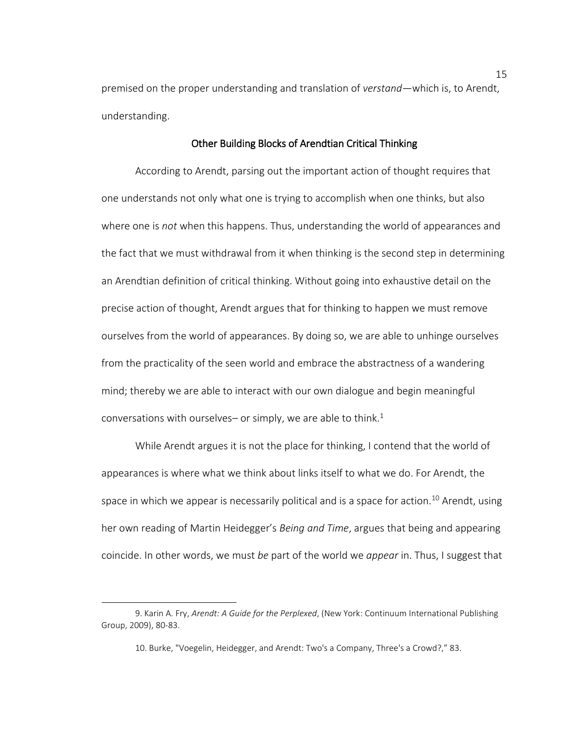premised on the proper understanding and translation of *verstand*—which is, to Arendt, understanding.

# Other Building Blocks of Arendtian Critical Thinking

According to Arendt, parsing out the important action of thought requires that one understands not only what one is trying to accomplish when one thinks, but also where one is *not* when this happens. Thus, understanding the world of appearances and the fact that we must withdrawal from it when thinking is the second step in determining an Arendtian definition of critical thinking. Without going into exhaustive detail on the precise action of thought, Arendt argues that for thinking to happen we must remove ourselves from the world of appearances. By doing so, we are able to unhinge ourselves from the practicality of the seen world and embrace the abstractness of a wandering mind; thereby we are able to interact with our own dialogue and begin meaningful conversations with ourselves– or simply, we are able to think.<sup>1</sup>

While Arendt argues it is not the place for thinking, I contend that the world of appearances is where what we think about links itself to what we do. For Arendt, the space in which we appear is necessarily political and is a space for action.<sup>10</sup> Arendt, using her own reading of Martin Heidegger's *Being and Time*, argues that being and appearing coincide. In other words, we must *be* part of the world we *appear* in. Thus, I suggest that

<sup>9.</sup> Karin A. Fry, *Arendt: A Guide for the Perplexed*, (New York: Continuum International Publishing Group, 2009), 80-83.

<sup>10.</sup> Burke, "Voegelin, Heidegger, and Arendt: Two's a Company, Three's a Crowd?," 83.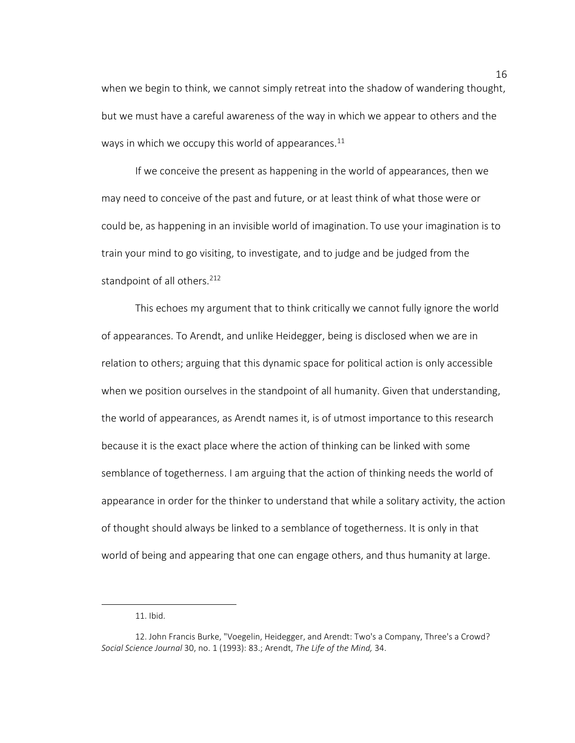when we begin to think, we cannot simply retreat into the shadow of wandering thought, but we must have a careful awareness of the way in which we appear to others and the ways in which we occupy this world of appearances. $11$ 

If we conceive the present as happening in the world of appearances, then we may need to conceive of the past and future, or at least think of what those were or could be, as happening in an invisible world of imagination. To use your imagination is to train your mind to go visiting, to investigate, and to judge and be judged from the standpoint of all others.<sup>212</sup>

This echoes my argument that to think critically we cannot fully ignore the world of appearances. To Arendt, and unlike Heidegger, being is disclosed when we are in relation to others; arguing that this dynamic space for political action is only accessible when we position ourselves in the standpoint of all humanity. Given that understanding, the world of appearances, as Arendt names it, is of utmost importance to this research because it is the exact place where the action of thinking can be linked with some semblance of togetherness. I am arguing that the action of thinking needs the world of appearance in order for the thinker to understand that while a solitary activity, the action of thought should always be linked to a semblance of togetherness. It is only in that world of being and appearing that one can engage others, and thus humanity at large.

l

<sup>11.</sup> Ibid.

<sup>12.</sup> John Francis Burke, "Voegelin, Heidegger, and Arendt: Two's a Company, Three's a Crowd? *Social Science Journal* 30, no. 1 (1993): 83.; Arendt, *The Life of the Mind,* 34.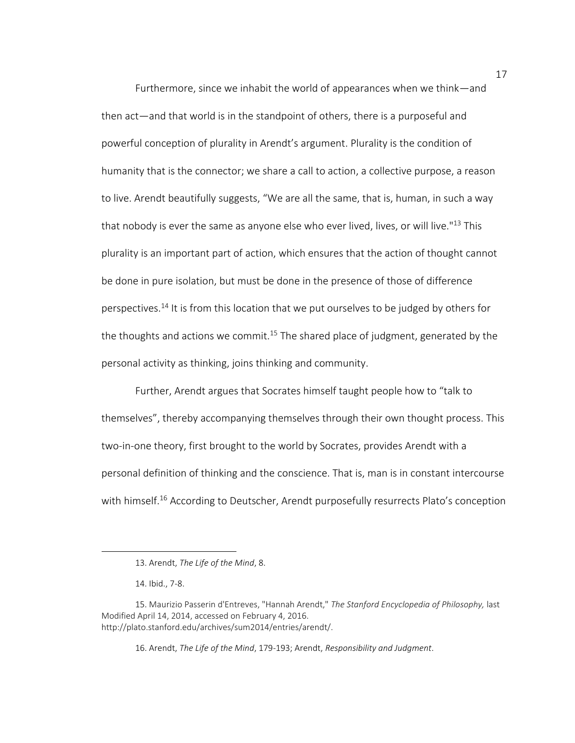Furthermore, since we inhabit the world of appearances when we think—and then act—and that world is in the standpoint of others, there is a purposeful and powerful conception of plurality in Arendt's argument. Plurality is the condition of humanity that is the connector; we share a call to action, a collective purpose, a reason to live. Arendt beautifully suggests, "We are all the same, that is, human, in such a way that nobody is ever the same as anyone else who ever lived, lives, or will live."<sup>13</sup> This plurality is an important part of action, which ensures that the action of thought cannot be done in pure isolation, but must be done in the presence of those of difference perspectives.<sup>14</sup> It is from this location that we put ourselves to be judged by others for the thoughts and actions we commit.<sup>15</sup> The shared place of judgment, generated by the personal activity as thinking, joins thinking and community.

Further, Arendt argues that Socrates himself taught people how to "talk to themselves", thereby accompanying themselves through their own thought process. This two-in-one theory, first brought to the world by Socrates, provides Arendt with a personal definition of thinking and the conscience. That is, man is in constant intercourse with himself. <sup>16</sup> According to Deutscher, Arendt purposefully resurrects Plato's conception

 $\overline{\phantom{a}}$ 

16. Arendt, *The Life of the Mind*, 179-193; Arendt, *Responsibility and Judgment*.

<sup>13.</sup> Arendt, *The Life of the Mind*, 8.

<sup>14.</sup> Ibid., 7-8.

<sup>15.</sup> Maurizio Passerin d'Entreves, "Hannah Arendt," *The Stanford Encyclopedia of Philosophy,* last Modified April 14, 2014, accessed on February 4, 2016. http://plato.stanford.edu/archives/sum2014/entries/arendt/.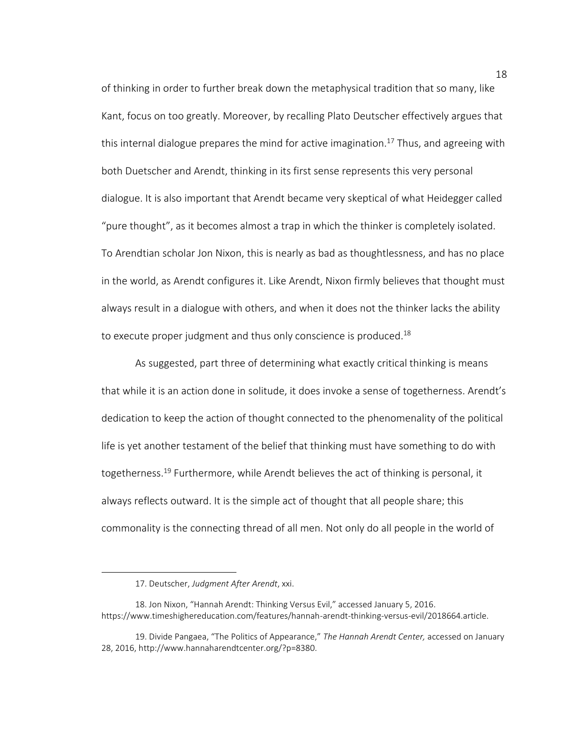of thinking in order to further break down the metaphysical tradition that so many, like Kant, focus on too greatly. Moreover, by recalling Plato Deutscher effectively argues that this internal dialogue prepares the mind for active imagination.<sup>17</sup> Thus, and agreeing with both Duetscher and Arendt, thinking in its first sense represents this very personal dialogue. It is also important that Arendt became very skeptical of what Heidegger called "pure thought", as it becomes almost a trap in which the thinker is completely isolated. To Arendtian scholar Jon Nixon, this is nearly as bad as thoughtlessness, and has no place in the world, as Arendt configures it. Like Arendt, Nixon firmly believes that thought must always result in a dialogue with others, and when it does not the thinker lacks the ability to execute proper judgment and thus only conscience is produced.<sup>18</sup>

As suggested, part three of determining what exactly critical thinking is means that while it is an action done in solitude, it does invoke a sense of togetherness. Arendt's dedication to keep the action of thought connected to the phenomenality of the political life is yet another testament of the belief that thinking must have something to do with togetherness.<sup>19</sup> Furthermore, while Arendt believes the act of thinking is personal, it always reflects outward. It is the simple act of thought that all people share; this commonality is the connecting thread of all men. Not only do all people in the world of

<sup>17.</sup> Deutscher, *Judgment After Arendt*, xxi.

<sup>18.</sup> Jon Nixon, "Hannah Arendt: Thinking Versus Evil," accessed January 5, 2016. https://www.timeshighereducation.com/features/hannah-arendt-thinking-versus-evil/2018664.article.

<sup>19.</sup> Divide Pangaea, "The Politics of Appearance," *The Hannah Arendt Center,* accessed on January 28, 2016, http://www.hannaharendtcenter.org/?p=8380.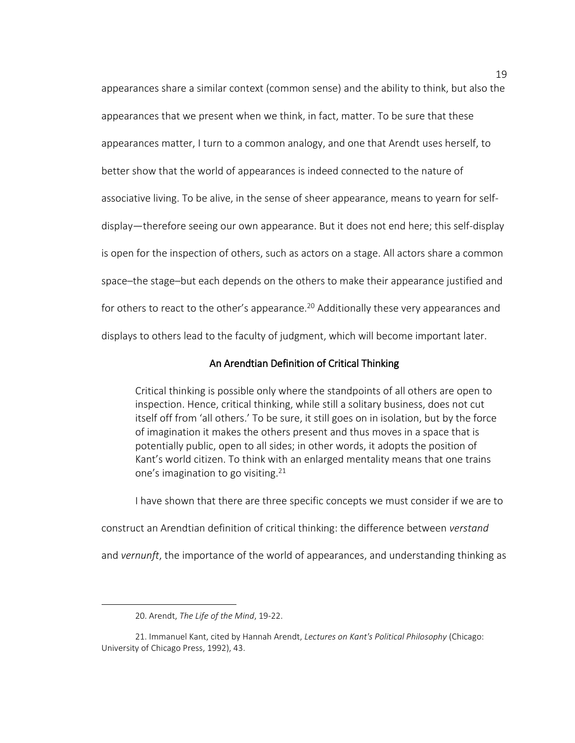appearances share a similar context (common sense) and the ability to think, but also the appearances that we present when we think, in fact, matter. To be sure that these appearances matter, I turn to a common analogy, and one that Arendt uses herself, to better show that the world of appearances is indeed connected to the nature of associative living. To be alive, in the sense of sheer appearance, means to yearn for selfdisplay—therefore seeing our own appearance. But it does not end here; this self-display is open for the inspection of others, such as actors on a stage. All actors share a common space–the stage–but each depends on the others to make their appearance justified and for others to react to the other's appearance.<sup>20</sup> Additionally these very appearances and displays to others lead to the faculty of judgment, which will become important later.

# An Arendtian Definition of Critical Thinking

Critical thinking is possible only where the standpoints of all others are open to inspection. Hence, critical thinking, while still a solitary business, does not cut itself off from 'all others.' To be sure, it still goes on in isolation, but by the force of imagination it makes the others present and thus moves in a space that is potentially public, open to all sides; in other words, it adopts the position of Kant's world citizen. To think with an enlarged mentality means that one trains one's imagination to go visiting.  $21$ 

I have shown that there are three specific concepts we must consider if we are to

construct an Arendtian definition of critical thinking: the difference between *verstand*

and *vernunft*, the importance of the world of appearances, and understanding thinking as

l

<sup>20.</sup> Arendt, *The Life of the Mind*, 19-22.

<sup>21.</sup> Immanuel Kant, cited by Hannah Arendt, *Lectures on Kant's Political Philosophy* (Chicago: University of Chicago Press, 1992), 43.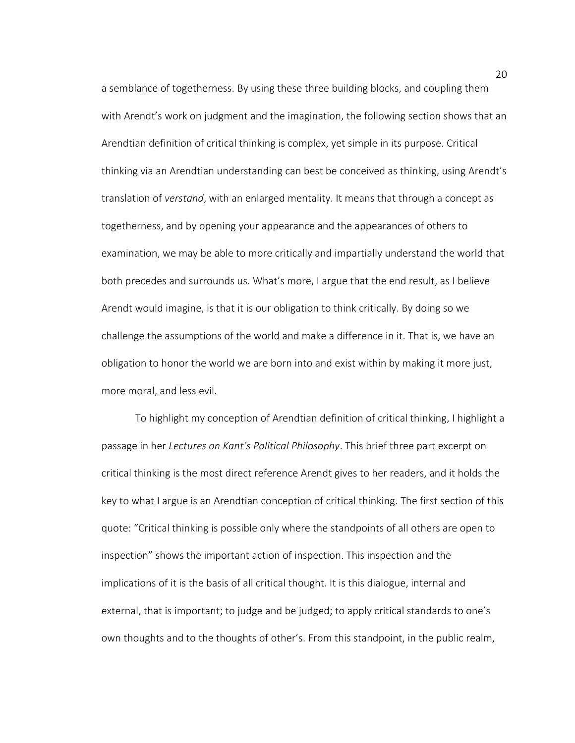a semblance of togetherness. By using these three building blocks, and coupling them with Arendt's work on judgment and the imagination, the following section shows that an Arendtian definition of critical thinking is complex, yet simple in its purpose. Critical thinking via an Arendtian understanding can best be conceived as thinking, using Arendt's translation of *verstand*, with an enlarged mentality. It means that through a concept as togetherness, and by opening your appearance and the appearances of others to examination, we may be able to more critically and impartially understand the world that both precedes and surrounds us. What's more, I argue that the end result, as I believe Arendt would imagine, is that it is our obligation to think critically. By doing so we challenge the assumptions of the world and make a difference in it. That is, we have an obligation to honor the world we are born into and exist within by making it more just, more moral, and less evil.

To highlight my conception of Arendtian definition of critical thinking, I highlight a passage in her *Lectures on Kant's Political Philosophy*. This brief three part excerpt on critical thinking is the most direct reference Arendt gives to her readers, and it holds the key to what I argue is an Arendtian conception of critical thinking. The first section of this quote: "Critical thinking is possible only where the standpoints of all others are open to inspection" shows the important action of inspection. This inspection and the implications of it is the basis of all critical thought. It is this dialogue, internal and external, that is important; to judge and be judged; to apply critical standards to one's own thoughts and to the thoughts of other's. From this standpoint, in the public realm,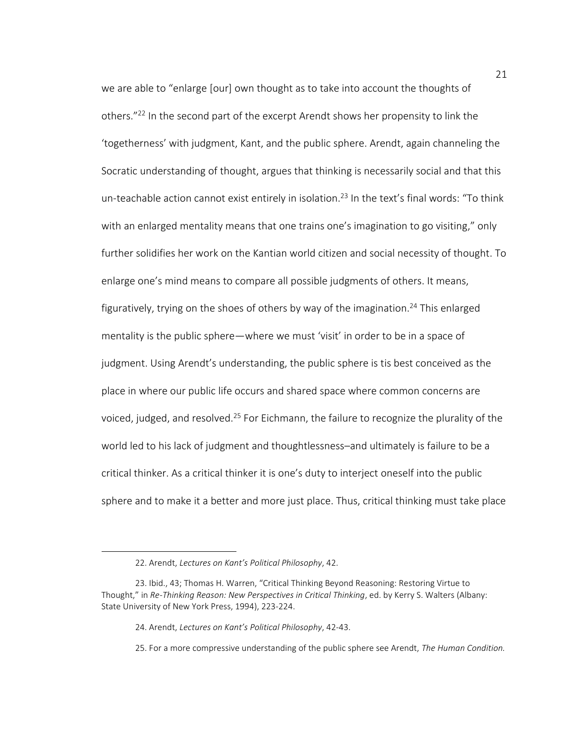we are able to "enlarge [our] own thought as to take into account the thoughts of others."<sup>22</sup> In the second part of the excerpt Arendt shows her propensity to link the 'togetherness' with judgment, Kant, and the public sphere. Arendt, again channeling the Socratic understanding of thought, argues that thinking is necessarily social and that this un-teachable action cannot exist entirely in isolation.<sup>23</sup> In the text's final words: "To think with an enlarged mentality means that one trains one's imagination to go visiting," only further solidifies her work on the Kantian world citizen and social necessity of thought. To enlarge one's mind means to compare all possible judgments of others. It means, figuratively, trying on the shoes of others by way of the imagination.<sup>24</sup> This enlarged mentality is the public sphere—where we must 'visit' in order to be in a space of judgment. Using Arendt's understanding, the public sphere is tis best conceived as the place in where our public life occurs and shared space where common concerns are voiced, judged, and resolved.<sup>25</sup> For Eichmann, the failure to recognize the plurality of the world led to his lack of judgment and thoughtlessness–and ultimately is failure to be a critical thinker. As a critical thinker it is one's duty to interject oneself into the public sphere and to make it a better and more just place. Thus, critical thinking must take place

<sup>22.</sup> Arendt, *Lectures on Kant's Political Philosophy*, 42.

<sup>23.</sup> Ibid., 43; Thomas H. Warren, "Critical Thinking Beyond Reasoning: Restoring Virtue to Thought," in *Re-Thinking Reason: New Perspectives in Critical Thinking*, ed. by Kerry S. Walters (Albany: State University of New York Press, 1994), 223-224.

<sup>24.</sup> Arendt, *Lectures on Kant's Political Philosophy*, 42-43.

<sup>25.</sup> For a more compressive understanding of the public sphere see Arendt, *The Human Condition.*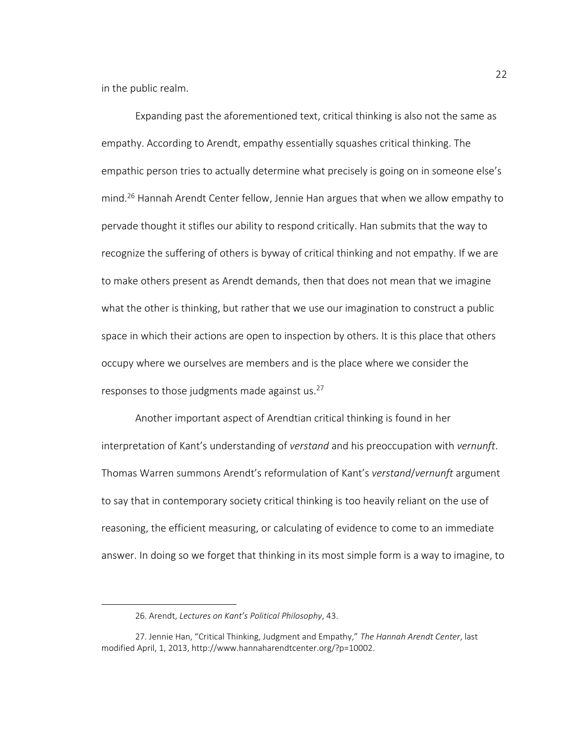in the public realm.

Expanding past the aforementioned text, critical thinking is also not the same as empathy. According to Arendt, empathy essentially squashes critical thinking. The empathic person tries to actually determine what precisely is going on in someone else's mind.<sup>26</sup> Hannah Arendt Center fellow, Jennie Han argues that when we allow empathy to pervade thought it stifles our ability to respond critically. Han submits that the way to recognize the suffering of others is byway of critical thinking and not empathy. If we are to make others present as Arendt demands, then that does not mean that we imagine what the other is thinking, but rather that we use our imagination to construct a public space in which their actions are open to inspection by others. It is this place that others occupy where we ourselves are members and is the place where we consider the responses to those judgments made against us. 27

Another important aspect of Arendtian critical thinking is found in her interpretation of Kant's understanding of *verstand* and his preoccupation with *vernunft*. Thomas Warren summons Arendt's reformulation of Kant's *verstand*/*vernunft* argument to say that in contemporary society critical thinking is too heavily reliant on the use of reasoning, the efficient measuring, or calculating of evidence to come to an immediate answer. In doing so we forget that thinking in its most simple form is a way to imagine, to

l

<sup>26.</sup> Arendt, *Lectures on Kant's Political Philosophy*, 43.

<sup>2</sup>7. Jennie Han, "Critical Thinking, Judgment and Empathy," *The Hannah Arendt Center*, last modified April, 1, 2013, http://www.hannaharendtcenter.org/?p=10002.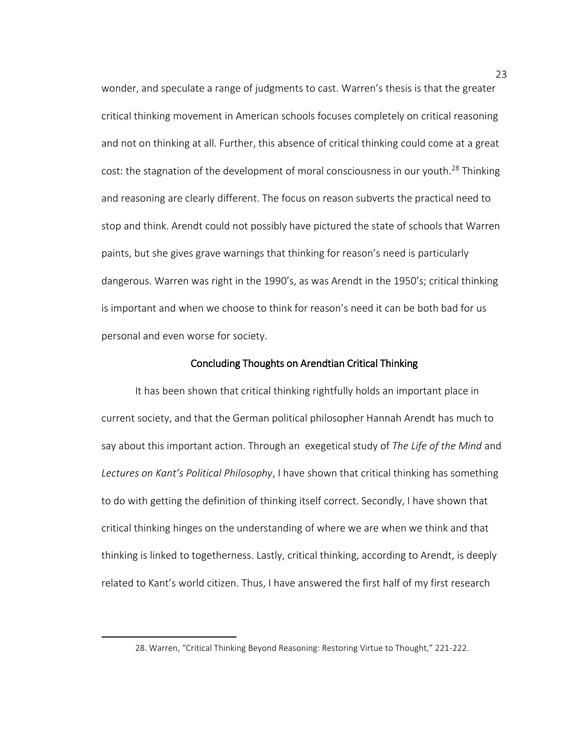wonder, and speculate a range of judgments to cast. Warren's thesis is that the greater critical thinking movement in American schools focuses completely on critical reasoning and not on thinking at all. Further, this absence of critical thinking could come at a great cost: the stagnation of the development of moral consciousness in our youth. <sup>28</sup> Thinking and reasoning are clearly different. The focus on reason subverts the practical need to stop and think. Arendt could not possibly have pictured the state of schools that Warren paints, but she gives grave warnings that thinking for reason's need is particularly dangerous. Warren was right in the 1990's, as was Arendt in the 1950's; critical thinking is important and when we choose to think for reason's need it can be both bad for us personal and even worse for society.

#### Concluding Thoughts on Arendtian Critical Thinking

It has been shown that critical thinking rightfully holds an important place in current society, and that the German political philosopher Hannah Arendt has much to say about this important action. Through an exegetical study of *The Life of the Mind* and *Lectures on Kant's Political Philosophy*, I have shown that critical thinking has something to do with getting the definition of thinking itself correct. Secondly, I have shown that critical thinking hinges on the understanding of where we are when we think and that thinking is linked to togetherness. Lastly, critical thinking, according to Arendt, is deeply related to Kant's world citizen. Thus, I have answered the first half of my first research

l

<sup>28.</sup> Warren, "Critical Thinking Beyond Reasoning: Restoring Virtue to Thought," 221-222.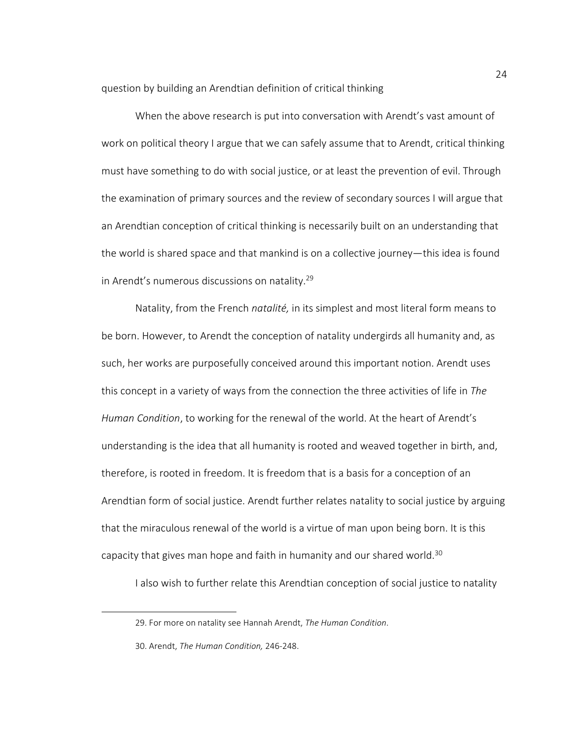question by building an Arendtian definition of critical thinking

When the above research is put into conversation with Arendt's vast amount of work on political theory I argue that we can safely assume that to Arendt, critical thinking must have something to do with social justice, or at least the prevention of evil. Through the examination of primary sources and the review of secondary sources I will argue that an Arendtian conception of critical thinking is necessarily built on an understanding that the world is shared space and that mankind is on a collective journey—this idea is found in Arendt's numerous discussions on natality.<sup>29</sup>

Natality, from the French *natalité,* in its simplest and most literal form means to be born. However, to Arendt the conception of natality undergirds all humanity and, as such, her works are purposefully conceived around this important notion. Arendt uses this concept in a variety of ways from the connection the three activities of life in *The Human Condition*, to working for the renewal of the world. At the heart of Arendt's understanding is the idea that all humanity is rooted and weaved together in birth, and, therefore, is rooted in freedom. It is freedom that is a basis for a conception of an Arendtian form of social justice. Arendt further relates natality to social justice by arguing that the miraculous renewal of the world is a virtue of man upon being born. It is this capacity that gives man hope and faith in humanity and our shared world.<sup>30</sup>

I also wish to further relate this Arendtian conception of social justice to natality

 $\overline{a}$ 

<sup>29.</sup> For more on natality see Hannah Arendt, *The Human Condition*.

<sup>30.</sup> Arendt, *The Human Condition,* 246-248.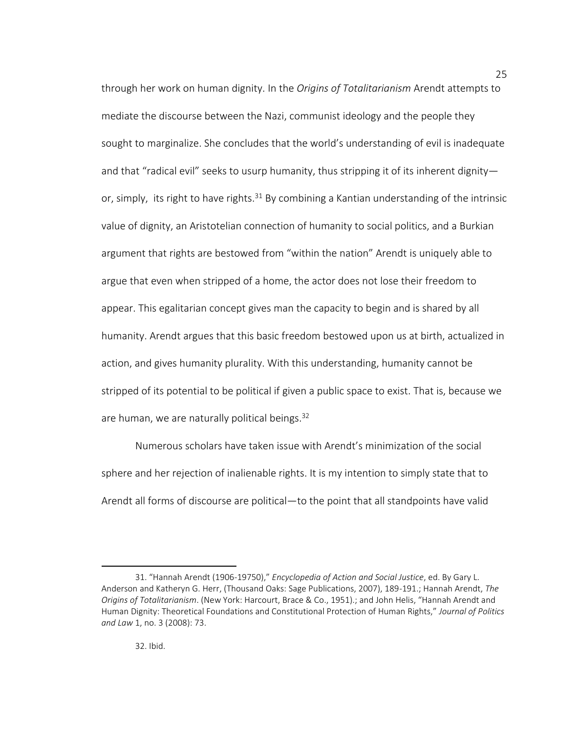through her work on human dignity. In the *Origins of Totalitarianism* Arendt attempts to mediate the discourse between the Nazi, communist ideology and the people they sought to marginalize. She concludes that the world's understanding of evil is inadequate and that "radical evil" seeks to usurp humanity, thus stripping it of its inherent dignity or, simply, its right to have rights. $31$  By combining a Kantian understanding of the intrinsic value of dignity, an Aristotelian connection of humanity to social politics, and a Burkian argument that rights are bestowed from "within the nation" Arendt is uniquely able to argue that even when stripped of a home, the actor does not lose their freedom to appear. This egalitarian concept gives man the capacity to begin and is shared by all humanity. Arendt argues that this basic freedom bestowed upon us at birth, actualized in action, and gives humanity plurality. With this understanding, humanity cannot be stripped of its potential to be political if given a public space to exist. That is, because we are human, we are naturally political beings.<sup>32</sup>

Numerous scholars have taken issue with Arendt's minimization of the social sphere and her rejection of inalienable rights. It is my intention to simply state that to Arendt all forms of discourse are political—to the point that all standpoints have valid

<sup>31. &</sup>quot;Hannah Arendt (1906-19750)," *Encyclopedia of Action and Social Justice*, ed. By Gary L. Anderson and Katheryn G. Herr, (Thousand Oaks: Sage Publications, 2007), 189-191.; Hannah Arendt, *The Origins of Totalitarianism*. (New York: Harcourt, Brace & Co., 1951).; and John Helis, "Hannah Arendt and Human Dignity: Theoretical Foundations and Constitutional Protection of Human Rights," *Journal of Politics and Law* 1, no. 3 (2008): 73.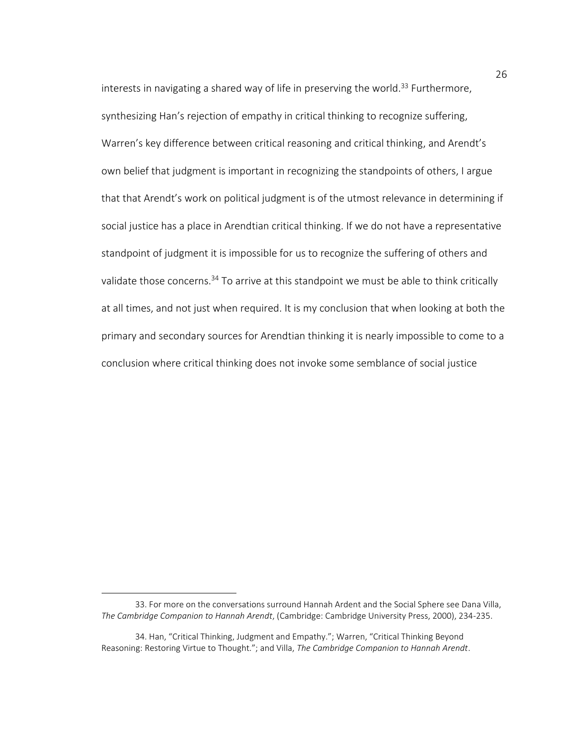interests in navigating a shared way of life in preserving the world.<sup>33</sup> Furthermore, synthesizing Han's rejection of empathy in critical thinking to recognize suffering, Warren's key difference between critical reasoning and critical thinking, and Arendt's own belief that judgment is important in recognizing the standpoints of others, I argue that that Arendt's work on political judgment is of the utmost relevance in determining if social justice has a place in Arendtian critical thinking. If we do not have a representative standpoint of judgment it is impossible for us to recognize the suffering of others and validate those concerns.<sup>34</sup> To arrive at this standpoint we must be able to think critically at all times, and not just when required. It is my conclusion that when looking at both the primary and secondary sources for Arendtian thinking it is nearly impossible to come to a conclusion where critical thinking does not invoke some semblance of social justice

 $\overline{a}$ 

<sup>33.</sup> For more on the conversations surround Hannah Ardent and the Social Sphere see Dana Villa, *The Cambridge Companion to Hannah Arendt*, (Cambridge: Cambridge University Press, 2000), 234-235.

<sup>34.</sup> Han, "Critical Thinking, Judgment and Empathy."; Warren, "Critical Thinking Beyond Reasoning: Restoring Virtue to Thought."; and Villa, *The Cambridge Companion to Hannah Arendt*.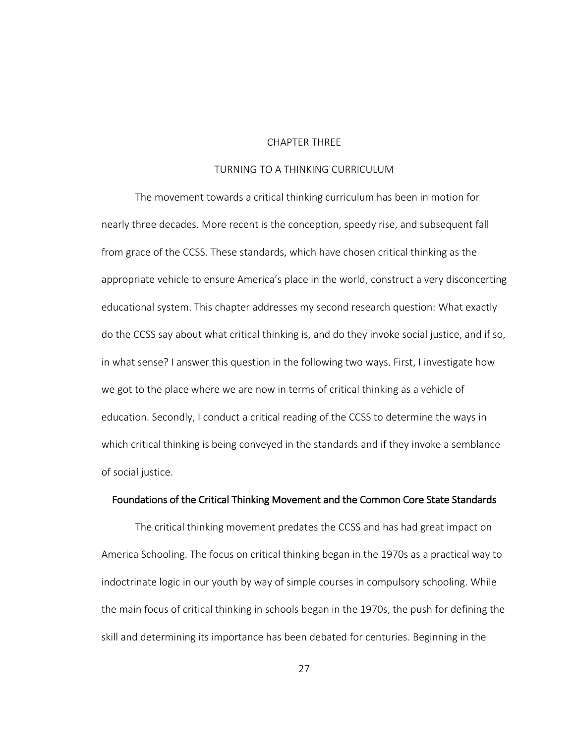# CHAPTER THREE

# TURNING TO A THINKING CURRICULUM

The movement towards a critical thinking curriculum has been in motion for nearly three decades. More recent is the conception, speedy rise, and subsequent fall from grace of the CCSS. These standards, which have chosen critical thinking as the appropriate vehicle to ensure America's place in the world, construct a very disconcerting educational system. This chapter addresses my second research question: What exactly do the CCSS say about what critical thinking is, and do they invoke social justice, and if so, in what sense? I answer this question in the following two ways. First, I investigate how we got to the place where we are now in terms of critical thinking as a vehicle of education. Secondly, I conduct a critical reading of the CCSS to determine the ways in which critical thinking is being conveyed in the standards and if they invoke a semblance of social justice.

# Foundations of the Critical Thinking Movement and the Common Core State Standards

The critical thinking movement predates the CCSS and has had great impact on America Schooling. The focus on critical thinking began in the 1970s as a practical way to indoctrinate logic in our youth by way of simple courses in compulsory schooling. While the main focus of critical thinking in schools began in the 1970s, the push for defining the skill and determining its importance has been debated for centuries. Beginning in the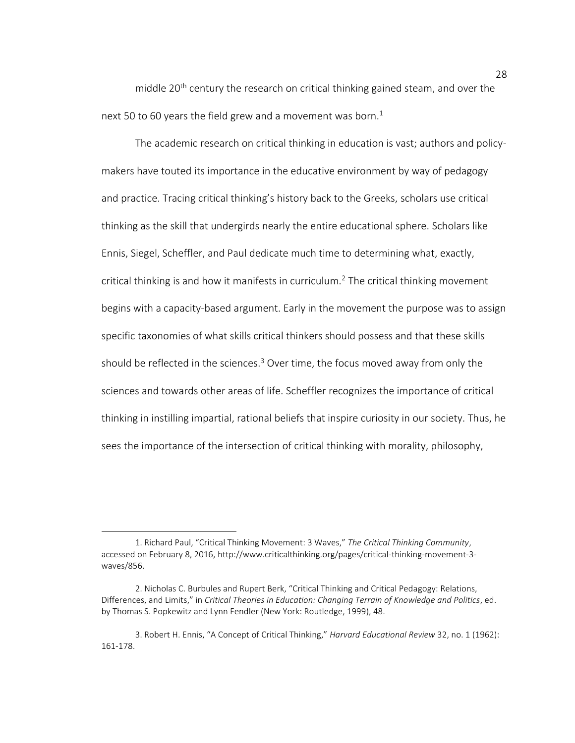middle 20<sup>th</sup> century the research on critical thinking gained steam, and over the next 50 to 60 years the field grew and a movement was born.<sup>1</sup>

The academic research on critical thinking in education is vast; authors and policymakers have touted its importance in the educative environment by way of pedagogy and practice. Tracing critical thinking's history back to the Greeks, scholars use critical thinking as the skill that undergirds nearly the entire educational sphere. Scholars like Ennis, Siegel, Scheffler, and Paul dedicate much time to determining what, exactly, critical thinking is and how it manifests in curriculum.<sup>2</sup> The critical thinking movement begins with a capacity-based argument. Early in the movement the purpose was to assign specific taxonomies of what skills critical thinkers should possess and that these skills should be reflected in the sciences.<sup>3</sup> Over time, the focus moved away from only the sciences and towards other areas of life. Scheffler recognizes the importance of critical thinking in instilling impartial, rational beliefs that inspire curiosity in our society. Thus, he sees the importance of the intersection of critical thinking with morality, philosophy,

l

<sup>1.</sup> Richard Paul, "Critical Thinking Movement: 3 Waves," *The Critical Thinking Community*, accessed on February 8, 2016, http://www.criticalthinking.org/pages/critical-thinking-movement-3 waves/856.

<sup>2.</sup> Nicholas C. Burbules and Rupert Berk, "Critical Thinking and Critical Pedagogy: Relations, Differences, and Limits," in *Critical Theories in Education: Changing Terrain of Knowledge and Politics*, ed. by Thomas S. Popkewitz and Lynn Fendler (New York: Routledge, 1999), 48.

<sup>3.</sup> Robert H. Ennis, "A Concept of Critical Thinking," *Harvard Educational Review* 32, no. 1 (1962): 161-178.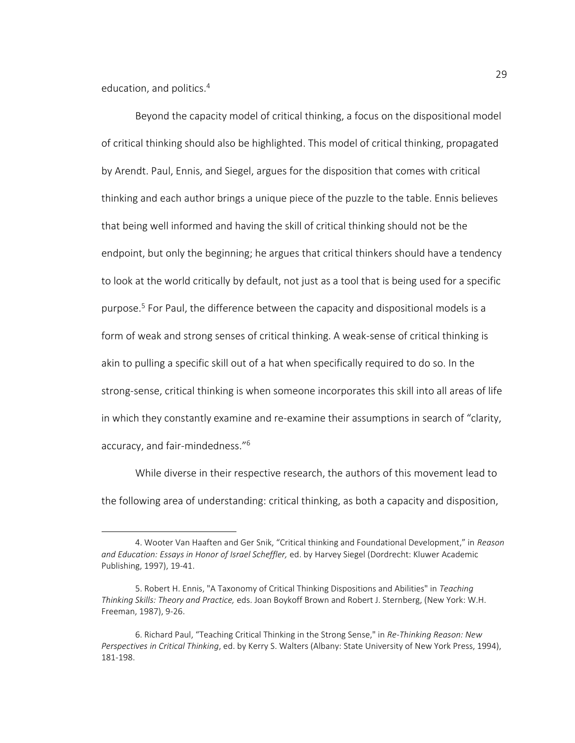education, and politics.<sup>4</sup>

l

Beyond the capacity model of critical thinking, a focus on the dispositional model of critical thinking should also be highlighted. This model of critical thinking, propagated by Arendt. Paul, Ennis, and Siegel, argues for the disposition that comes with critical thinking and each author brings a unique piece of the puzzle to the table. Ennis believes that being well informed and having the skill of critical thinking should not be the endpoint, but only the beginning; he argues that critical thinkers should have a tendency to look at the world critically by default, not just as a tool that is being used for a specific purpose.<sup>5</sup> For Paul, the difference between the capacity and dispositional models is a form of weak and strong senses of critical thinking. A weak-sense of critical thinking is akin to pulling a specific skill out of a hat when specifically required to do so. In the strong-sense, critical thinking is when someone incorporates this skill into all areas of life in which they constantly examine and re-examine their assumptions in search of "clarity, accuracy, and fair-mindedness."<sup>6</sup>

While diverse in their respective research, the authors of this movement lead to the following area of understanding: critical thinking, as both a capacity and disposition,

<sup>4.</sup> Wooter Van Haaften and Ger Snik, "Critical thinking and Foundational Development," in *Reason and Education: Essays in Honor of Israel Scheffler,* ed. by Harvey Siegel (Dordrecht: Kluwer Academic Publishing, 1997), 19-41.

<sup>5.</sup> Robert H. Ennis, "A Taxonomy of Critical Thinking Dispositions and Abilities" in *Teaching Thinking Skills: Theory and Practice,* eds. Joan Boykoff Brown and Robert J. Sternberg, (New York: W.H. Freeman, 1987), 9-26.

<sup>6.</sup> Richard Paul, "Teaching Critical Thinking in the Strong Sense," in *Re-Thinking Reason: New Perspectives in Critical Thinking*, ed. by Kerry S. Walters (Albany: State University of New York Press, 1994), 181-198.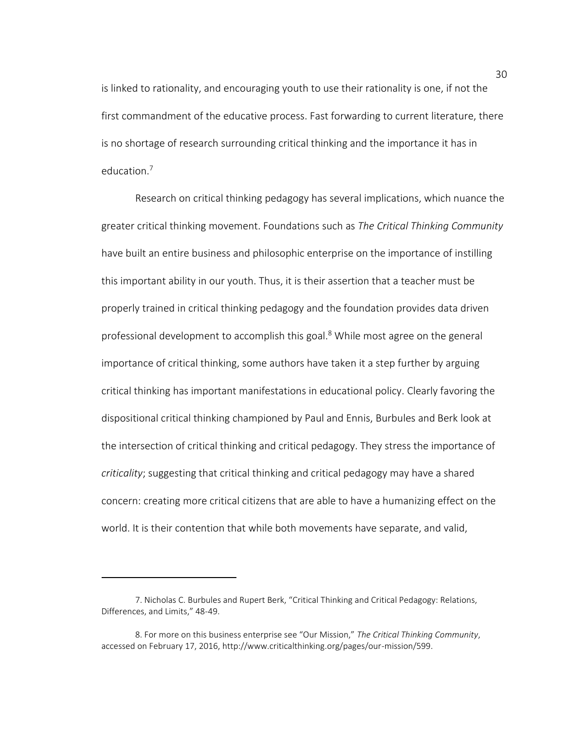is linked to rationality, and encouraging youth to use their rationality is one, if not the first commandment of the educative process. Fast forwarding to current literature, there is no shortage of research surrounding critical thinking and the importance it has in education.<sup>7</sup>

Research on critical thinking pedagogy has several implications, which nuance the greater critical thinking movement. Foundations such as *The Critical Thinking Community* have built an entire business and philosophic enterprise on the importance of instilling this important ability in our youth. Thus, it is their assertion that a teacher must be properly trained in critical thinking pedagogy and the foundation provides data driven professional development to accomplish this goal.<sup>8</sup> While most agree on the general importance of critical thinking, some authors have taken it a step further by arguing critical thinking has important manifestations in educational policy. Clearly favoring the dispositional critical thinking championed by Paul and Ennis, Burbules and Berk look at the intersection of critical thinking and critical pedagogy. They stress the importance of *criticality*; suggesting that critical thinking and critical pedagogy may have a shared concern: creating more critical citizens that are able to have a humanizing effect on the world. It is their contention that while both movements have separate, and valid,

<sup>7.</sup> Nicholas C. Burbules and Rupert Berk, "Critical Thinking and Critical Pedagogy: Relations, Differences, and Limits," 48-49.

<sup>8.</sup> For more on this business enterprise see "Our Mission," *The Critical Thinking Community*, accessed on February 17, 2016, http://www.criticalthinking.org/pages/our-mission/599.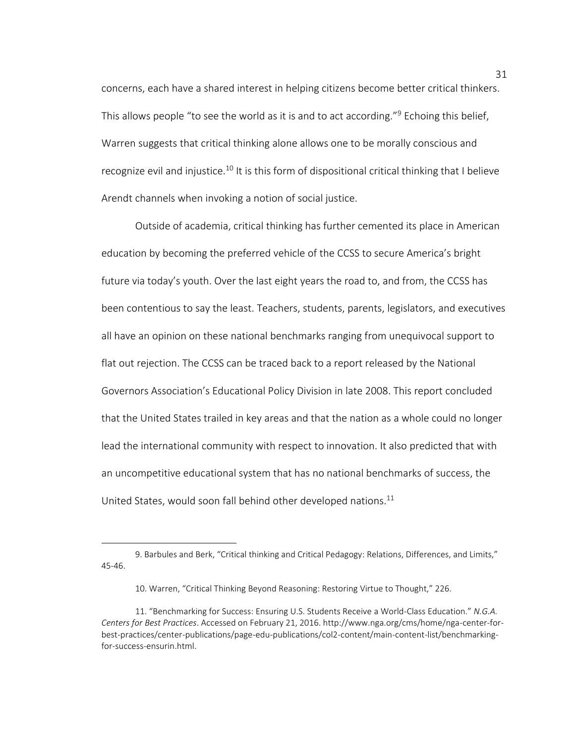concerns, each have a shared interest in helping citizens become better critical thinkers. This allows people "to see the world as it is and to act according."<sup>9</sup> Echoing this belief, Warren suggests that critical thinking alone allows one to be morally conscious and recognize evil and injustice.<sup>10</sup> It is this form of dispositional critical thinking that I believe Arendt channels when invoking a notion of social justice.

Outside of academia, critical thinking has further cemented its place in American education by becoming the preferred vehicle of the CCSS to secure America's bright future via today's youth. Over the last eight years the road to, and from, the CCSS has been contentious to say the least. Teachers, students, parents, legislators, and executives all have an opinion on these national benchmarks ranging from unequivocal support to flat out rejection. The CCSS can be traced back to a report released by the National Governors Association's Educational Policy Division in late 2008. This report concluded that the United States trailed in key areas and that the nation as a whole could no longer lead the international community with respect to innovation. It also predicted that with an uncompetitive educational system that has no national benchmarks of success, the United States, would soon fall behind other developed nations.<sup>11</sup>

<sup>9.</sup> Barbules and Berk, "Critical thinking and Critical Pedagogy: Relations, Differences, and Limits," 45-46.

<sup>10.</sup> Warren, "Critical Thinking Beyond Reasoning: Restoring Virtue to Thought," 226.

<sup>11.</sup> "Benchmarking for Success: Ensuring U.S. Students Receive a World-Class Education." *N.G.A. Centers for Best Practices*. Accessed on February 21, 2016. http://www.nga.org/cms/home/nga-center-forbest-practices/center-publications/page-edu-publications/col2-content/main-content-list/benchmarkingfor-success-ensurin.html.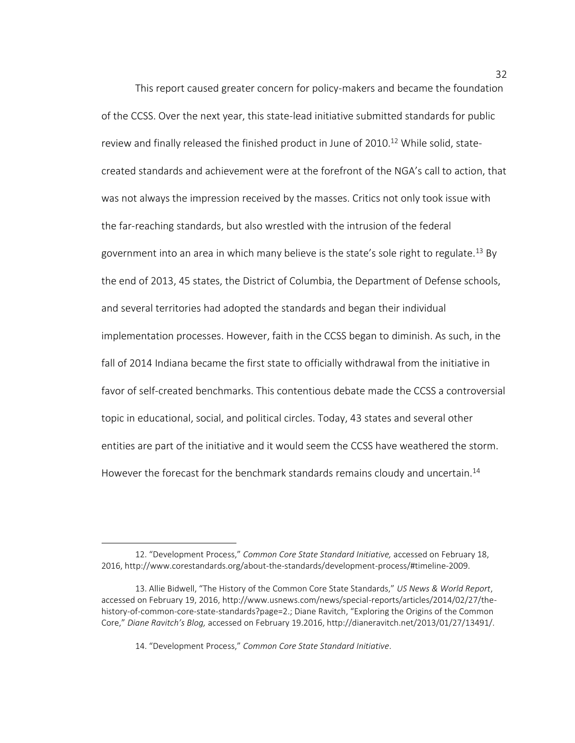This report caused greater concern for policy-makers and became the foundation of the CCSS. Over the next year, this state-lead initiative submitted standards for public review and finally released the finished product in June of  $2010<sup>12</sup>$  While solid, statecreated standards and achievement were at the forefront of the NGA's call to action, that was not always the impression received by the masses. Critics not only took issue with the far-reaching standards, but also wrestled with the intrusion of the federal government into an area in which many believe is the state's sole right to regulate.<sup>13</sup> By the end of 2013, 45 states, the District of Columbia, the Department of Defense schools, and several territories had adopted the standards and began their individual implementation processes. However, faith in the CCSS began to diminish. As such, in the fall of 2014 Indiana became the first state to officially withdrawal from the initiative in favor of self-created benchmarks. This contentious debate made the CCSS a controversial topic in educational, social, and political circles. Today, 43 states and several other entities are part of the initiative and it would seem the CCSS have weathered the storm. However the forecast for the benchmark standards remains cloudy and uncertain.<sup>14</sup>

<sup>12. &</sup>quot;Development Process," *Common Core State Standard Initiative,* accessed on February 18, 2016, http://www.corestandards.org/about-the-standards/development-process/#timeline-2009.

<sup>13.</sup> Allie Bidwell, "The History of the Common Core State Standards," *US News & World Report*, accessed on February 19, 2016, http://www.usnews.com/news/special-reports/articles/2014/02/27/thehistory-of-common-core-state-standards?page=2.; Diane Ravitch, "Exploring the Origins of the Common Core," *Diane Ravitch's Blog,* accessed on February 19.2016, http://dianeravitch.net/2013/01/27/13491/.

<sup>14. &</sup>quot;Development Process," *Common Core State Standard Initiative*.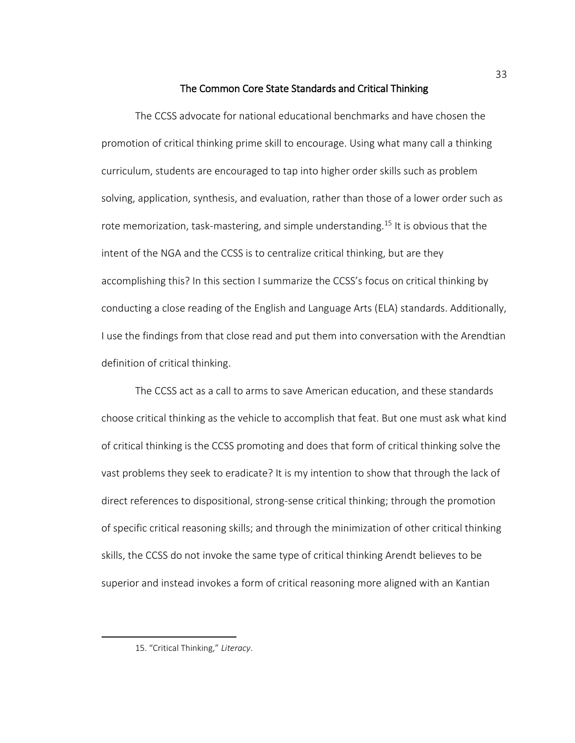# The Common Core State Standards and Critical Thinking

The CCSS advocate for national educational benchmarks and have chosen the promotion of critical thinking prime skill to encourage. Using what many call a thinking curriculum, students are encouraged to tap into higher order skills such as problem solving, application, synthesis, and evaluation, rather than those of a lower order such as rote memorization, task-mastering, and simple understanding.<sup>15</sup> It is obvious that the intent of the NGA and the CCSS is to centralize critical thinking, but are they accomplishing this? In this section I summarize the CCSS's focus on critical thinking by conducting a close reading of the English and Language Arts (ELA) standards. Additionally, I use the findings from that close read and put them into conversation with the Arendtian definition of critical thinking.

The CCSS act as a call to arms to save American education, and these standards choose critical thinking as the vehicle to accomplish that feat. But one must ask what kind of critical thinking is the CCSS promoting and does that form of critical thinking solve the vast problems they seek to eradicate? It is my intention to show that through the lack of direct references to dispositional, strong-sense critical thinking; through the promotion of specific critical reasoning skills; and through the minimization of other critical thinking skills, the CCSS do not invoke the same type of critical thinking Arendt believes to be superior and instead invokes a form of critical reasoning more aligned with an Kantian

l

<sup>15</sup>. "Critical Thinking," *Literacy*.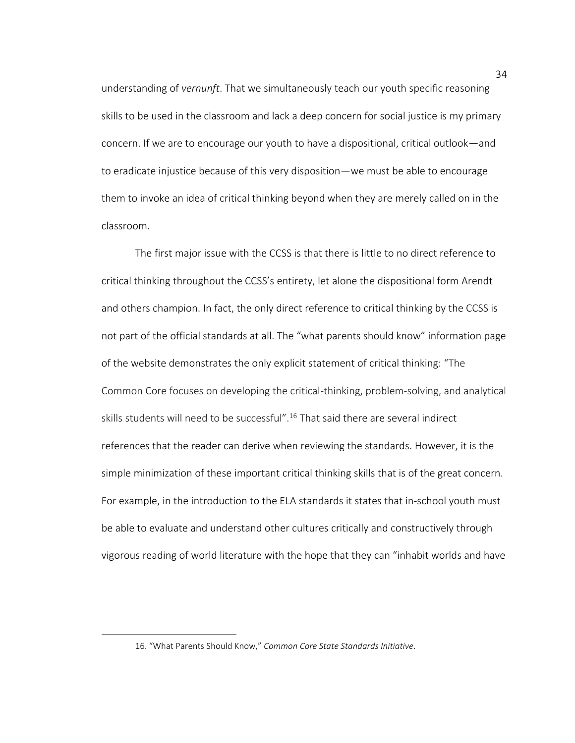understanding of *vernunft*. That we simultaneously teach our youth specific reasoning skills to be used in the classroom and lack a deep concern for social justice is my primary concern. If we are to encourage our youth to have a dispositional, critical outlook—and to eradicate injustice because of this very disposition—we must be able to encourage them to invoke an idea of critical thinking beyond when they are merely called on in the classroom.

The first major issue with the CCSS is that there is little to no direct reference to critical thinking throughout the CCSS's entirety, let alone the dispositional form Arendt and others champion. In fact, the only direct reference to critical thinking by the CCSS is not part of the official standards at all. The "what parents should know" information page of the website demonstrates the only explicit statement of critical thinking: "The Common Core focuses on developing the critical-thinking, problem-solving, and analytical skills students will need to be successful".<sup>16</sup> That said there are several indirect references that the reader can derive when reviewing the standards. However, it is the simple minimization of these important critical thinking skills that is of the great concern. For example, in the introduction to the ELA standards it states that in-school youth must be able to evaluate and understand other cultures critically and constructively through vigorous reading of world literature with the hope that they can "inhabit worlds and have

<sup>16. &</sup>quot;What Parents Should Know," *Common Core State Standards Initiative*.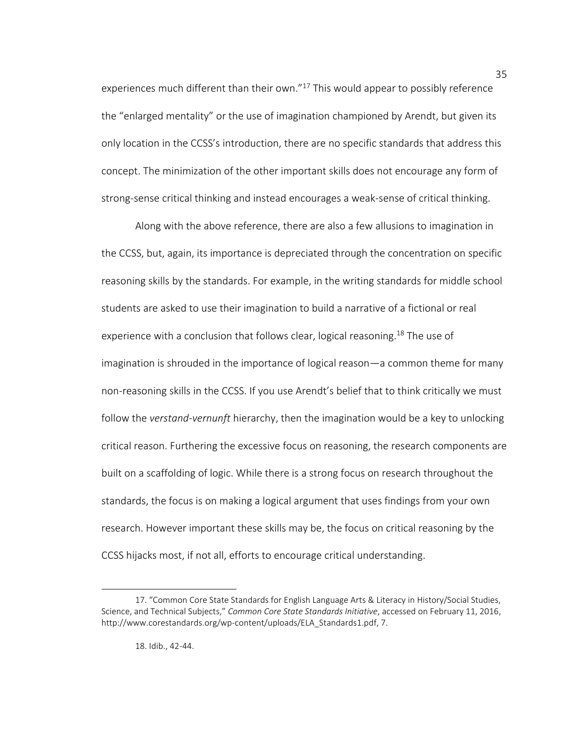experiences much different than their own."<sup>17</sup> This would appear to possibly reference the "enlarged mentality" or the use of imagination championed by Arendt, but given its only location in the CCSS's introduction, there are no specific standards that address this concept. The minimization of the other important skills does not encourage any form of strong-sense critical thinking and instead encourages a weak-sense of critical thinking.

Along with the above reference, there are also a few allusions to imagination in the CCSS, but, again, its importance is depreciated through the concentration on specific reasoning skills by the standards. For example, in the writing standards for middle school students are asked to use their imagination to build a narrative of a fictional or real experience with a conclusion that follows clear, logical reasoning.<sup>18</sup> The use of imagination is shrouded in the importance of logical reason—a common theme for many non-reasoning skills in the CCSS. If you use Arendt's belief that to think critically we must follow the *verstand*-*vernunft* hierarchy, then the imagination would be a key to unlocking critical reason. Furthering the excessive focus on reasoning, the research components are built on a scaffolding of logic. While there is a strong focus on research throughout the standards, the focus is on making a logical argument that uses findings from your own research. However important these skills may be, the focus on critical reasoning by the CCSS hijacks most, if not all, efforts to encourage critical understanding.

l

<sup>17. &</sup>quot;Common Core State Standards for English Language Arts & Literacy in History/Social Studies, Science, and Technical Subjects," *Common Core State Standards Initiative*, accessed on February 11, 2016, http://www.corestandards.org/wp-content/uploads/ELA\_Standards1.pdf, 7.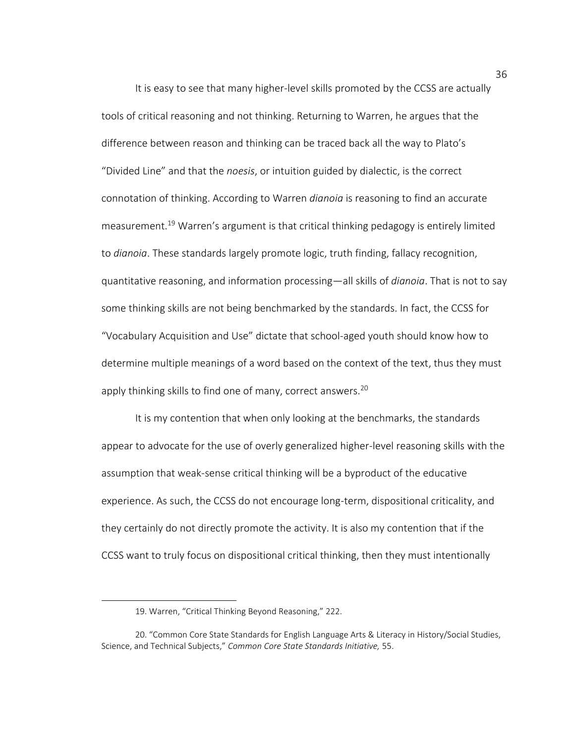It is easy to see that many higher-level skills promoted by the CCSS are actually tools of critical reasoning and not thinking. Returning to Warren, he argues that the difference between reason and thinking can be traced back all the way to Plato's "Divided Line" and that the *noesis*, or intuition guided by dialectic, is the correct connotation of thinking. According to Warren *dianoia* is reasoning to find an accurate measurement.<sup>19</sup> Warren's argument is that critical thinking pedagogy is entirely limited to *dianoia*. These standards largely promote logic, truth finding, fallacy recognition, quantitative reasoning, and information processing—all skills of *dianoia*. That is not to say some thinking skills are not being benchmarked by the standards. In fact, the CCSS for "Vocabulary Acquisition and Use" dictate that school-aged youth should know how to determine multiple meanings of a word based on the context of the text, thus they must apply thinking skills to find one of many, correct answers.<sup>20</sup>

It is my contention that when only looking at the benchmarks, the standards appear to advocate for the use of overly generalized higher-level reasoning skills with the assumption that weak-sense critical thinking will be a byproduct of the educative experience. As such, the CCSS do not encourage long-term, dispositional criticality, and they certainly do not directly promote the activity. It is also my contention that if the CCSS want to truly focus on dispositional critical thinking, then they must intentionally

<sup>19.</sup> Warren, "Critical Thinking Beyond Reasoning," 222.

<sup>20. &</sup>quot;Common Core State Standards for English Language Arts & Literacy in History/Social Studies, Science, and Technical Subjects," *Common Core State Standards Initiative,* 55.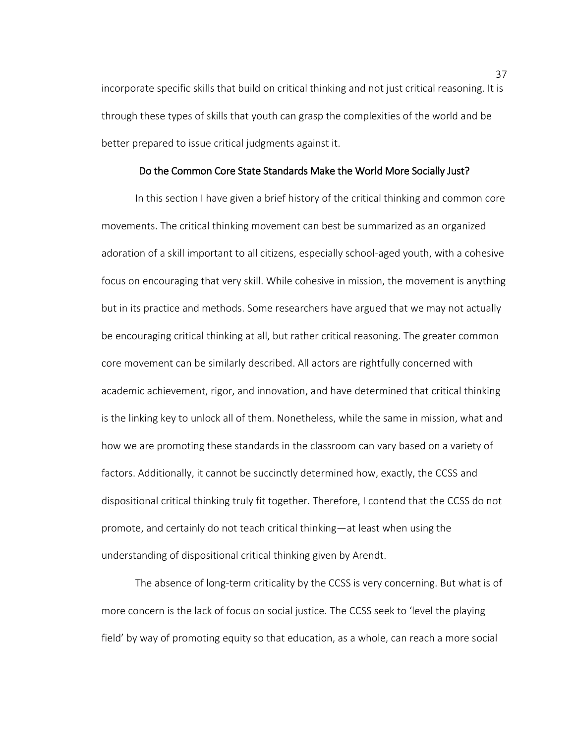incorporate specific skills that build on critical thinking and not just critical reasoning. It is through these types of skills that youth can grasp the complexities of the world and be better prepared to issue critical judgments against it.

### Do the Common Core State Standards Make the World More Socially Just?

 In this section I have given a brief history of the critical thinking and common core movements. The critical thinking movement can best be summarized as an organized adoration of a skill important to all citizens, especially school-aged youth, with a cohesive focus on encouraging that very skill. While cohesive in mission, the movement is anything but in its practice and methods. Some researchers have argued that we may not actually be encouraging critical thinking at all, but rather critical reasoning. The greater common core movement can be similarly described. All actors are rightfully concerned with academic achievement, rigor, and innovation, and have determined that critical thinking is the linking key to unlock all of them. Nonetheless, while the same in mission, what and how we are promoting these standards in the classroom can vary based on a variety of factors. Additionally, it cannot be succinctly determined how, exactly, the CCSS and dispositional critical thinking truly fit together. Therefore, I contend that the CCSS do not promote, and certainly do not teach critical thinking—at least when using the understanding of dispositional critical thinking given by Arendt.

The absence of long-term criticality by the CCSS is very concerning. But what is of more concern is the lack of focus on social justice. The CCSS seek to 'level the playing field' by way of promoting equity so that education, as a whole, can reach a more social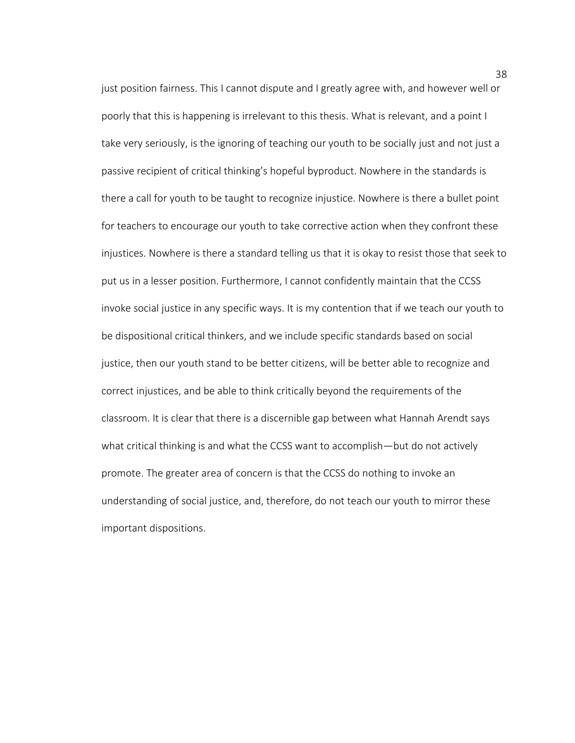just position fairness. This I cannot dispute and I greatly agree with, and however well or poorly that this is happening is irrelevant to this thesis. What is relevant, and a point I take very seriously, is the ignoring of teaching our youth to be socially just and not just a passive recipient of critical thinking's hopeful byproduct. Nowhere in the standards is there a call for youth to be taught to recognize injustice. Nowhere is there a bullet point for teachers to encourage our youth to take corrective action when they confront these injustices. Nowhere is there a standard telling us that it is okay to resist those that seek to put us in a lesser position. Furthermore, I cannot confidently maintain that the CCSS invoke social justice in any specific ways. It is my contention that if we teach our youth to be dispositional critical thinkers, and we include specific standards based on social justice, then our youth stand to be better citizens, will be better able to recognize and correct injustices, and be able to think critically beyond the requirements of the classroom. It is clear that there is a discernible gap between what Hannah Arendt says what critical thinking is and what the CCSS want to accomplish—but do not actively promote. The greater area of concern is that the CCSS do nothing to invoke an understanding of social justice, and, therefore, do not teach our youth to mirror these important dispositions.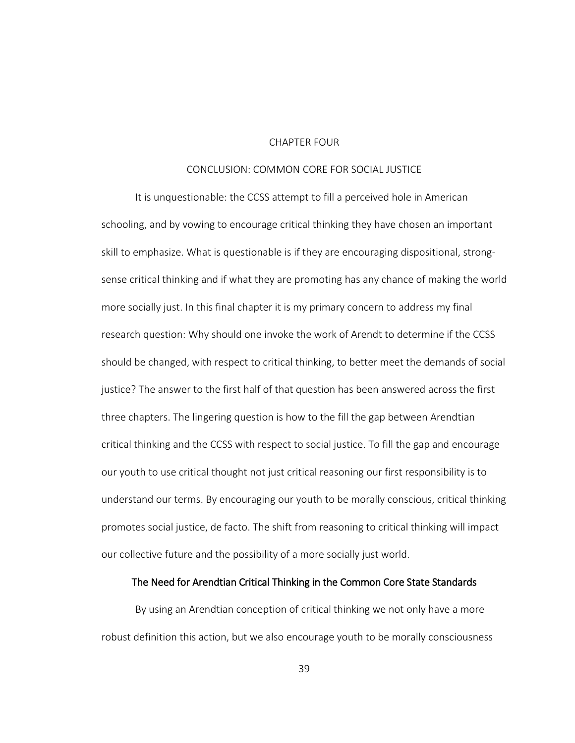# CHAPTER FOUR

# CONCLUSION: COMMON CORE FOR SOCIAL JUSTICE

It is unquestionable: the CCSS attempt to fill a perceived hole in American schooling, and by vowing to encourage critical thinking they have chosen an important skill to emphasize. What is questionable is if they are encouraging dispositional, strongsense critical thinking and if what they are promoting has any chance of making the world more socially just. In this final chapter it is my primary concern to address my final research question: Why should one invoke the work of Arendt to determine if the CCSS should be changed, with respect to critical thinking, to better meet the demands of social justice? The answer to the first half of that question has been answered across the first three chapters. The lingering question is how to the fill the gap between Arendtian critical thinking and the CCSS with respect to social justice. To fill the gap and encourage our youth to use critical thought not just critical reasoning our first responsibility is to understand our terms. By encouraging our youth to be morally conscious, critical thinking promotes social justice, de facto. The shift from reasoning to critical thinking will impact our collective future and the possibility of a more socially just world.

### The Need for Arendtian Critical Thinking in the Common Core State Standards

By using an Arendtian conception of critical thinking we not only have a more robust definition this action, but we also encourage youth to be morally consciousness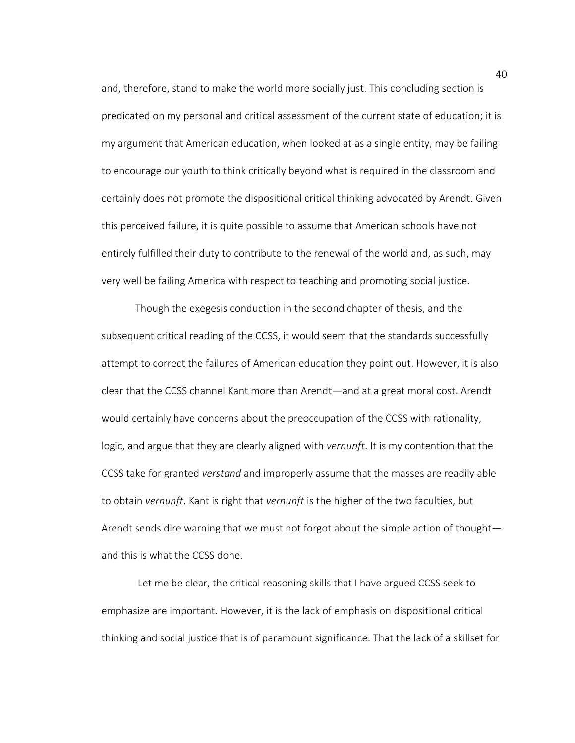and, therefore, stand to make the world more socially just. This concluding section is predicated on my personal and critical assessment of the current state of education; it is my argument that American education, when looked at as a single entity, may be failing to encourage our youth to think critically beyond what is required in the classroom and certainly does not promote the dispositional critical thinking advocated by Arendt. Given this perceived failure, it is quite possible to assume that American schools have not entirely fulfilled their duty to contribute to the renewal of the world and, as such, may very well be failing America with respect to teaching and promoting social justice.

Though the exegesis conduction in the second chapter of thesis, and the subsequent critical reading of the CCSS, it would seem that the standards successfully attempt to correct the failures of American education they point out. However, it is also clear that the CCSS channel Kant more than Arendt—and at a great moral cost. Arendt would certainly have concerns about the preoccupation of the CCSS with rationality, logic, and argue that they are clearly aligned with *vernunft*. It is my contention that the CCSS take for granted *verstand* and improperly assume that the masses are readily able to obtain *vernunft*. Kant is right that *vernunft* is the higher of the two faculties, but Arendt sends dire warning that we must not forgot about the simple action of thought and this is what the CCSS done.

Let me be clear, the critical reasoning skills that I have argued CCSS seek to emphasize are important. However, it is the lack of emphasis on dispositional critical thinking and social justice that is of paramount significance. That the lack of a skillset for

40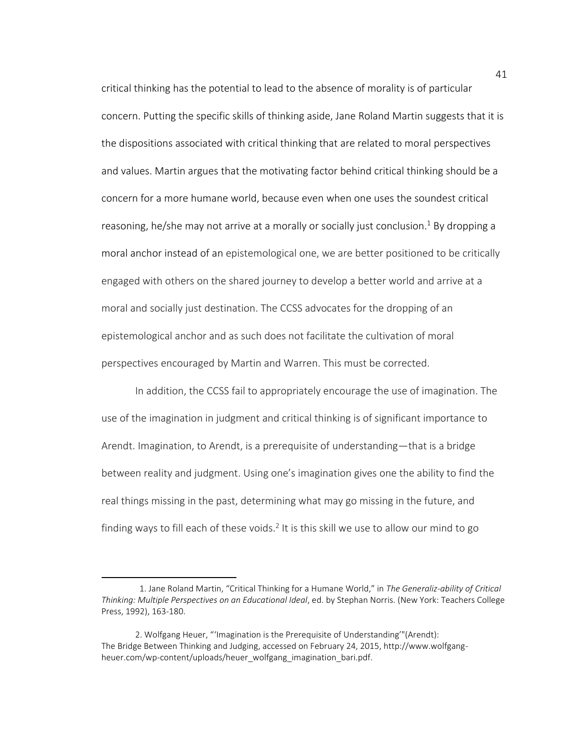critical thinking has the potential to lead to the absence of morality is of particular concern. Putting the specific skills of thinking aside, Jane Roland Martin suggests that it is the dispositions associated with critical thinking that are related to moral perspectives and values. Martin argues that the motivating factor behind critical thinking should be a concern for a more humane world, because even when one uses the soundest critical reasoning, he/she may not arrive at a morally or socially just conclusion. <sup>1</sup> By dropping a moral anchor instead of an epistemological one, we are better positioned to be critically engaged with others on the shared journey to develop a better world and arrive at a moral and socially just destination. The CCSS advocates for the dropping of an epistemological anchor and as such does not facilitate the cultivation of moral perspectives encouraged by Martin and Warren. This must be corrected.

In addition, the CCSS fail to appropriately encourage the use of imagination. The use of the imagination in judgment and critical thinking is of significant importance to Arendt. Imagination, to Arendt, is a prerequisite of understanding—that is a bridge between reality and judgment. Using one's imagination gives one the ability to find the real things missing in the past, determining what may go missing in the future, and finding ways to fill each of these voids.<sup>2</sup> It is this skill we use to allow our mind to go

<sup>1.</sup> Jane Roland Martin, "Critical Thinking for a Humane World," in *The Generaliz-ability of Critical Thinking: Multiple Perspectives on an Educational Ideal*, ed. by Stephan Norris. (New York: Teachers College Press, 1992), 163-180.

<sup>2.</sup> Wolfgang Heuer, "'Imagination is the Prerequisite of Understanding'"(Arendt): The Bridge Between Thinking and Judging, accessed on February 24, 2015, http://www.wolfgangheuer.com/wp-content/uploads/heuer\_wolfgang\_imagination\_bari.pdf.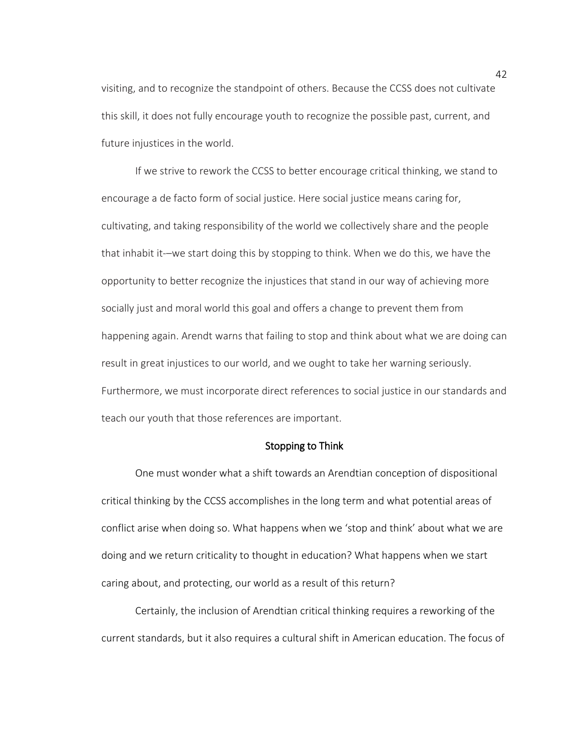visiting, and to recognize the standpoint of others. Because the CCSS does not cultivate this skill, it does not fully encourage youth to recognize the possible past, current, and future injustices in the world.

If we strive to rework the CCSS to better encourage critical thinking, we stand to encourage a de facto form of social justice. Here social justice means caring for, cultivating, and taking responsibility of the world we collectively share and the people that inhabit it-–we start doing this by stopping to think. When we do this, we have the opportunity to better recognize the injustices that stand in our way of achieving more socially just and moral world this goal and offers a change to prevent them from happening again. Arendt warns that failing to stop and think about what we are doing can result in great injustices to our world, and we ought to take her warning seriously. Furthermore, we must incorporate direct references to social justice in our standards and teach our youth that those references are important.

### Stopping to Think

One must wonder what a shift towards an Arendtian conception of dispositional critical thinking by the CCSS accomplishes in the long term and what potential areas of conflict arise when doing so. What happens when we 'stop and think' about what we are doing and we return criticality to thought in education? What happens when we start caring about, and protecting, our world as a result of this return?

Certainly, the inclusion of Arendtian critical thinking requires a reworking of the current standards, but it also requires a cultural shift in American education. The focus of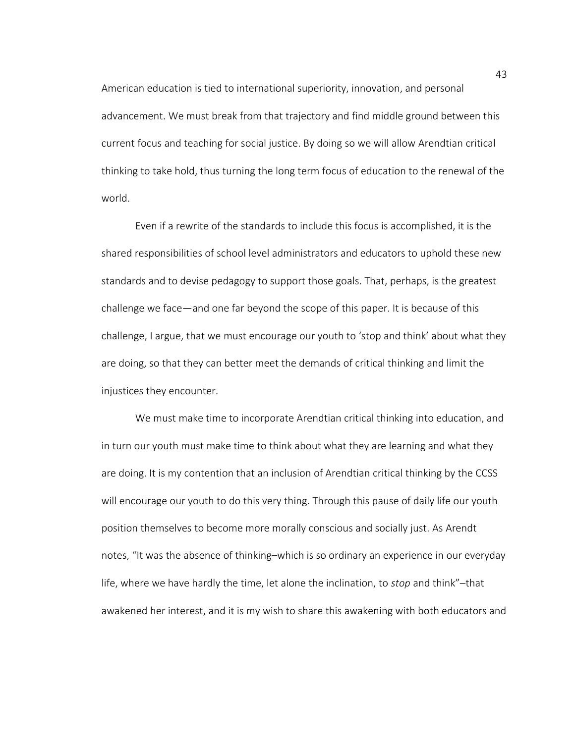American education is tied to international superiority, innovation, and personal advancement. We must break from that trajectory and find middle ground between this current focus and teaching for social justice. By doing so we will allow Arendtian critical thinking to take hold, thus turning the long term focus of education to the renewal of the world.

Even if a rewrite of the standards to include this focus is accomplished, it is the shared responsibilities of school level administrators and educators to uphold these new standards and to devise pedagogy to support those goals. That, perhaps, is the greatest challenge we face—and one far beyond the scope of this paper. It is because of this challenge, I argue, that we must encourage our youth to 'stop and think' about what they are doing, so that they can better meet the demands of critical thinking and limit the injustices they encounter.

We must make time to incorporate Arendtian critical thinking into education, and in turn our youth must make time to think about what they are learning and what they are doing. It is my contention that an inclusion of Arendtian critical thinking by the CCSS will encourage our youth to do this very thing. Through this pause of daily life our youth position themselves to become more morally conscious and socially just. As Arendt notes, "It was the absence of thinking–which is so ordinary an experience in our everyday life, where we have hardly the time, let alone the inclination, to *stop* and think"–that awakened her interest, and it is my wish to share this awakening with both educators and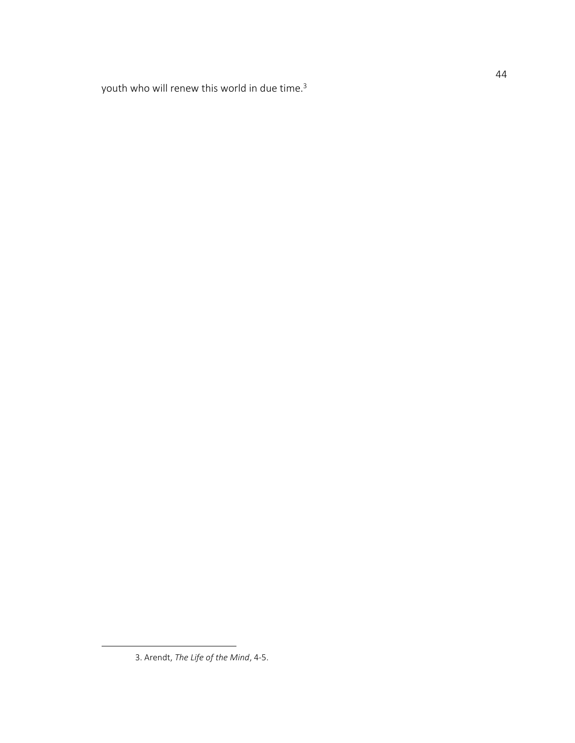youth who will renew this world in due time. 3

<sup>3.</sup> Arendt, *The Life of the Mind*, 4-5.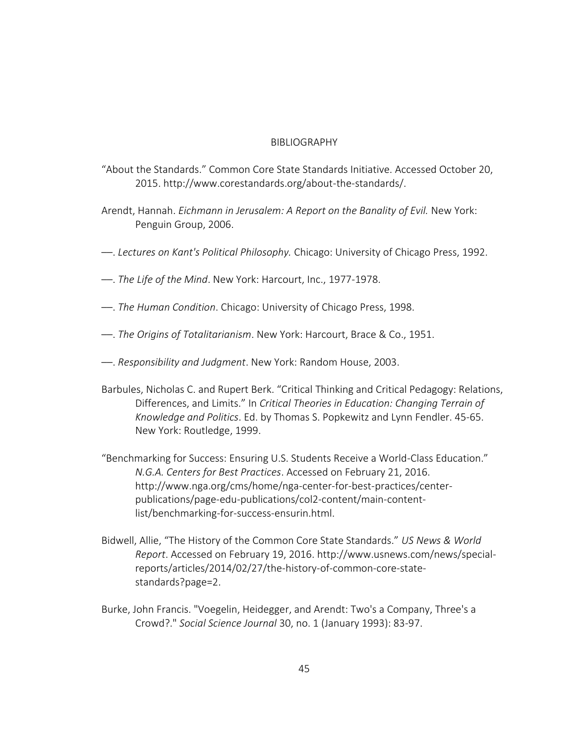# BIBLIOGRAPHY

- "About the Standards." Common Core State Standards Initiative. Accessed October 20, 2015. http://www.corestandards.org/about-the-standards/.
- Arendt, Hannah. *Eichmann in Jerusalem: A Report on the Banality of Evil.* New York: Penguin Group, 2006.
- ––. *Lectures on Kant's Political Philosophy.* Chicago: University of Chicago Press, 1992.
- ––. *The Life of the Mind*. New York: Harcourt, Inc., 1977-1978.
- ––. *The Human Condition*. Chicago: University of Chicago Press, 1998.
- ––. *The Origins of Totalitarianism*. New York: Harcourt, Brace & Co., 1951.
- ––. *Responsibility and Judgment*. New York: Random House, 2003.
- Barbules, Nicholas C. and Rupert Berk. "Critical Thinking and Critical Pedagogy: Relations, Differences, and Limits." In *Critical Theories in Education: Changing Terrain of Knowledge and Politics*. Ed. by Thomas S. Popkewitz and Lynn Fendler. 45-65. New York: Routledge, 1999.
- "Benchmarking for Success: Ensuring U.S. Students Receive a World-Class Education." *N.G.A. Centers for Best Practices*. Accessed on February 21, 2016. http://www.nga.org/cms/home/nga-center-for-best-practices/centerpublications/page-edu-publications/col2-content/main-contentlist/benchmarking-for-success-ensurin.html.
- Bidwell, Allie, "The History of the Common Core State Standards." *US News & World Report*. Accessed on February 19, 2016. http://www.usnews.com/news/specialreports/articles/2014/02/27/the-history-of-common-core-statestandards?page=2.
- Burke, John Francis. "Voegelin, Heidegger, and Arendt: Two's a Company, Three's a Crowd?." *Social Science Journal* 30, no. 1 (January 1993): 83-97.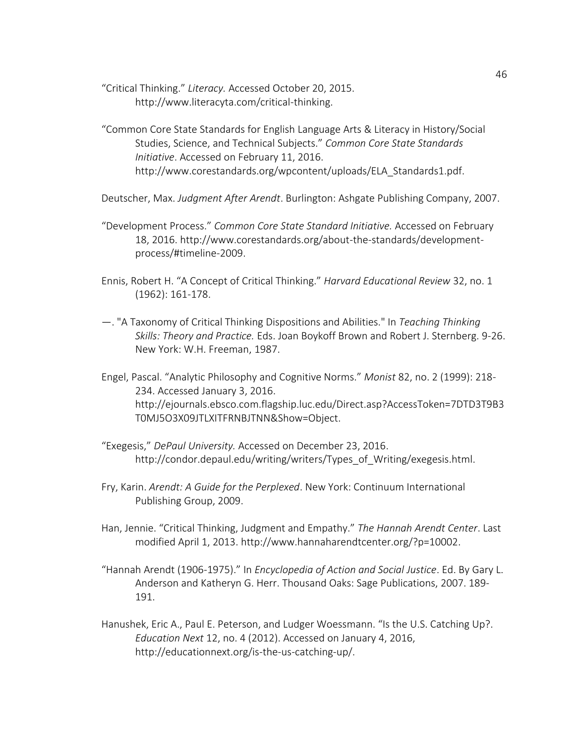"Critical Thinking." *Literacy.* Accessed October 20, 2015. http://www.literacyta.com/critical-thinking.

"Common Core State Standards for English Language Arts & Literacy in History/Social Studies, Science, and Technical Subjects." *Common Core State Standards Initiative*. Accessed on February 11, 2016. http://www.corestandards.org/wpcontent/uploads/ELA\_Standards1.pdf.

Deutscher, Max. *Judgment After Arendt*. Burlington: Ashgate Publishing Company, 2007.

- "Development Process." *Common Core State Standard Initiative.* Accessed on February 18, 2016. http://www.corestandards.org/about-the-standards/developmentprocess/#timeline-2009.
- Ennis, Robert H. "A Concept of Critical Thinking." *Harvard Educational Review* 32, no. 1 (1962): 161-178.
- —. "A Taxonomy of Critical Thinking Dispositions and Abilities." In *Teaching Thinking Skills: Theory and Practice.* Eds. Joan Boykoff Brown and Robert J. Sternberg. 9-26. New York: W.H. Freeman, 1987.
- Engel, Pascal. "Analytic Philosophy and Cognitive Norms." *Monist* 82, no. 2 (1999): 218- 234. Accessed January 3, 2016. http://ejournals.ebsco.com.flagship.luc.edu/Direct.asp?AccessToken=7DTD3T9B3 T0MJ5O3X09JTLXITFRNBJTNN&Show=Object.
- "Exegesis," *DePaul University.* Accessed on December 23, 2016. http://condor.depaul.edu/writing/writers/Types\_of\_Writing/exegesis.html.
- Fry, Karin. *Arendt: A Guide for the Perplexed*. New York: Continuum International Publishing Group, 2009.
- Han, Jennie. "Critical Thinking, Judgment and Empathy." *The Hannah Arendt Center*. Last modified April 1, 2013. http://www.hannaharendtcenter.org/?p=10002.
- "Hannah Arendt (1906-1975)." In *Encyclopedia of Action and Social Justice*. Ed. By Gary L. Anderson and Katheryn G. Herr. Thousand Oaks: Sage Publications, 2007. 189- 191.
- Hanushek, Eric A., Paul E. Peterson, and Ludger Woessmann. "Is the U.S. Catching Up?. *Education Next* 12, no. 4 (2012). Accessed on January 4, 2016, http://educationnext.org/is-the-us-catching-up/.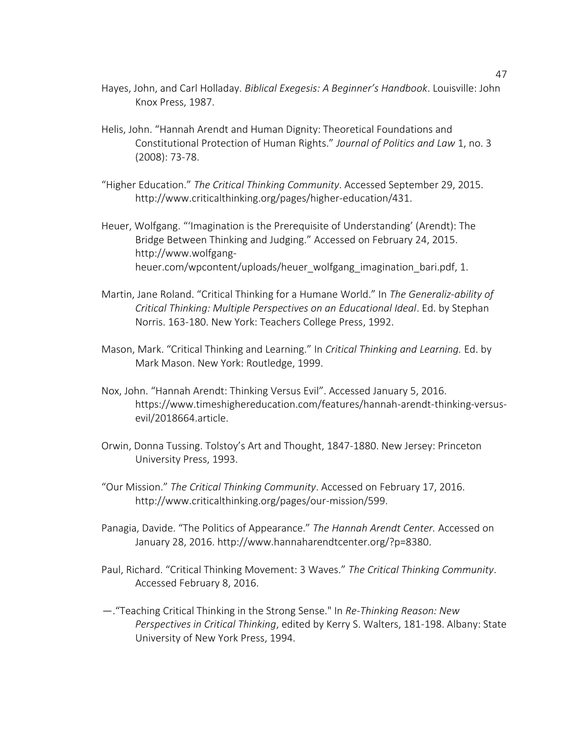- Hayes, John, and Carl Holladay. *Biblical Exegesis: A Beginner's Handbook*. Louisville: John Knox Press, 1987.
- Helis, John. "Hannah Arendt and Human Dignity: Theoretical Foundations and Constitutional Protection of Human Rights." *Journal of Politics and Law* 1, no. 3 (2008): 73-78.
- "Higher Education." *The Critical Thinking Community*. Accessed September 29, 2015. http://www.criticalthinking.org/pages/higher-education/431.
- Heuer, Wolfgang. "'Imagination is the Prerequisite of Understanding' (Arendt): The Bridge Between Thinking and Judging." Accessed on February 24, 2015. http://www.wolfgangheuer.com/wpcontent/uploads/heuer\_wolfgang\_imagination\_bari.pdf, 1.
- Martin, Jane Roland. "Critical Thinking for a Humane World." In *The Generaliz-ability of Critical Thinking: Multiple Perspectives on an Educational Ideal*. Ed. by Stephan Norris. 163-180. New York: Teachers College Press, 1992.
- Mason, Mark. "Critical Thinking and Learning." In *Critical Thinking and Learning.* Ed. by Mark Mason. New York: Routledge, 1999.
- Nox, John. "Hannah Arendt: Thinking Versus Evil". Accessed January 5, 2016. https://www.timeshighereducation.com/features/hannah-arendt-thinking-versusevil/2018664.article.
- Orwin, Donna Tussing. Tolstoy's Art and Thought, 1847-1880. New Jersey: Princeton University Press, 1993.
- "Our Mission." *The Critical Thinking Community*. Accessed on February 17, 2016. http://www.criticalthinking.org/pages/our-mission/599.
- Panagia, Davide. "The Politics of Appearance." *The Hannah Arendt Center.* Accessed on January 28, 2016. http://www.hannaharendtcenter.org/?p=8380.
- Paul, Richard. "Critical Thinking Movement: 3 Waves." *The Critical Thinking Community*. Accessed February 8, 2016.
- —."Teaching Critical Thinking in the Strong Sense." In *Re-Thinking Reason: New Perspectives in Critical Thinking*, edited by Kerry S. Walters, 181-198. Albany: State University of New York Press, 1994.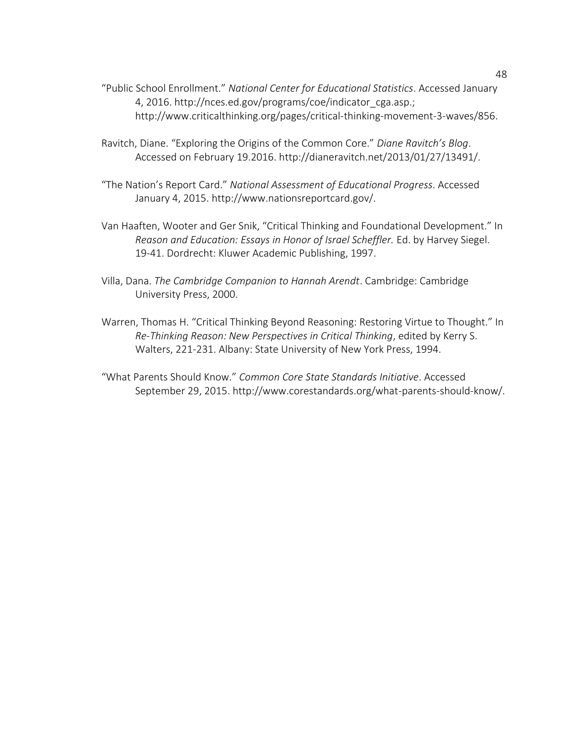- "Public School Enrollment." *National Center for Educational Statistics*. Accessed January 4, 2016. http://nces.ed.gov/programs/coe/indicator\_cga.asp.; http://www.criticalthinking.org/pages/critical-thinking-movement-3-waves/856.
- Ravitch, Diane. "Exploring the Origins of the Common Core." *Diane Ravitch's Blog*. Accessed on February 19.2016. http://dianeravitch.net/2013/01/27/13491/.
- "The Nation's Report Card." *National Assessment of Educational Progress*. Accessed January 4, 2015. http://www.nationsreportcard.gov/.
- Van Haaften, Wooter and Ger Snik, "Critical Thinking and Foundational Development." In *Reason and Education: Essays in Honor of Israel Scheffler.* Ed. by Harvey Siegel. 19-41. Dordrecht: Kluwer Academic Publishing, 1997.
- Villa, Dana. *The Cambridge Companion to Hannah Arendt*. Cambridge: Cambridge University Press, 2000.
- Warren, Thomas H. "Critical Thinking Beyond Reasoning: Restoring Virtue to Thought." In *Re-Thinking Reason: New Perspectives in Critical Thinking*, edited by Kerry S. Walters, 221-231. Albany: State University of New York Press, 1994.
- "What Parents Should Know." *Common Core State Standards Initiative*. Accessed September 29, 2015. http://www.corestandards.org/what-parents-should-know/.